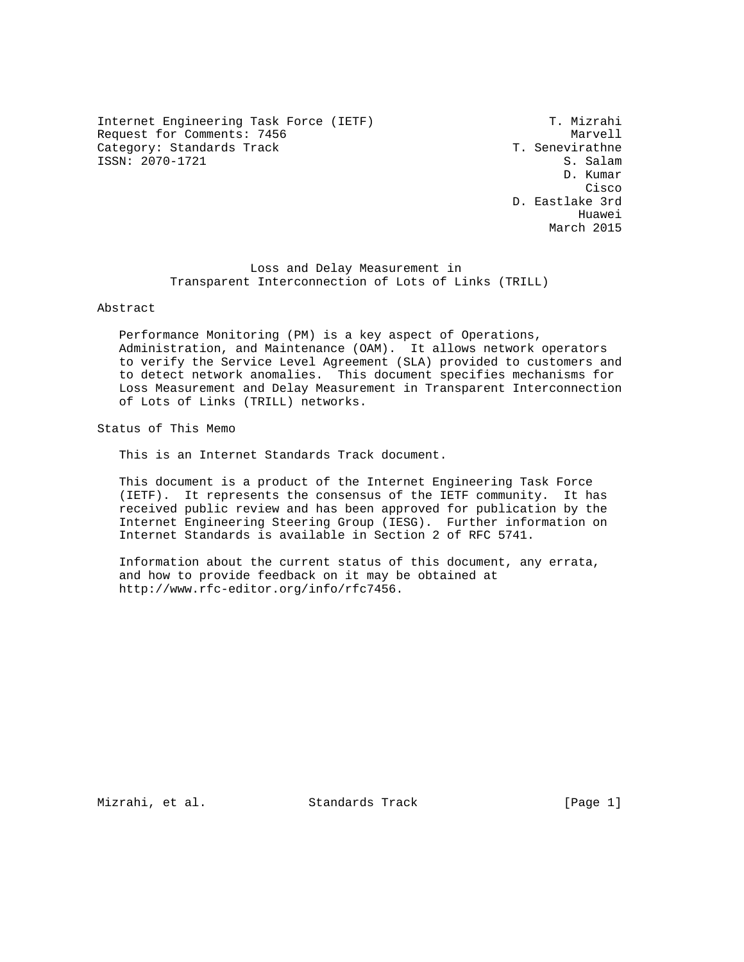Internet Engineering Task Force (IETF) T. Mizrahi Request for Comments: 7456 Marvell<br>Category: Standards Track Marvell Category: Standards Track Category: Standards Track ISSN: 2070-1721 S. Salam

 D. Kumar **Cisco de la contrata de la contrata de la contrata de la contrata de la contrata de la contrata de la contrat**  D. Eastlake 3rd he distributed by the control of the control of the control of the control of the control of the control of the control of the control of the control of the control of the control of the control of the control of the contr March 2015

> Loss and Delay Measurement in Transparent Interconnection of Lots of Links (TRILL)

Abstract

 Performance Monitoring (PM) is a key aspect of Operations, Administration, and Maintenance (OAM). It allows network operators to verify the Service Level Agreement (SLA) provided to customers and to detect network anomalies. This document specifies mechanisms for Loss Measurement and Delay Measurement in Transparent Interconnection of Lots of Links (TRILL) networks.

Status of This Memo

This is an Internet Standards Track document.

 This document is a product of the Internet Engineering Task Force (IETF). It represents the consensus of the IETF community. It has received public review and has been approved for publication by the Internet Engineering Steering Group (IESG). Further information on Internet Standards is available in Section 2 of RFC 5741.

 Information about the current status of this document, any errata, and how to provide feedback on it may be obtained at http://www.rfc-editor.org/info/rfc7456.

Mizrahi, et al. Standards Track [Page 1]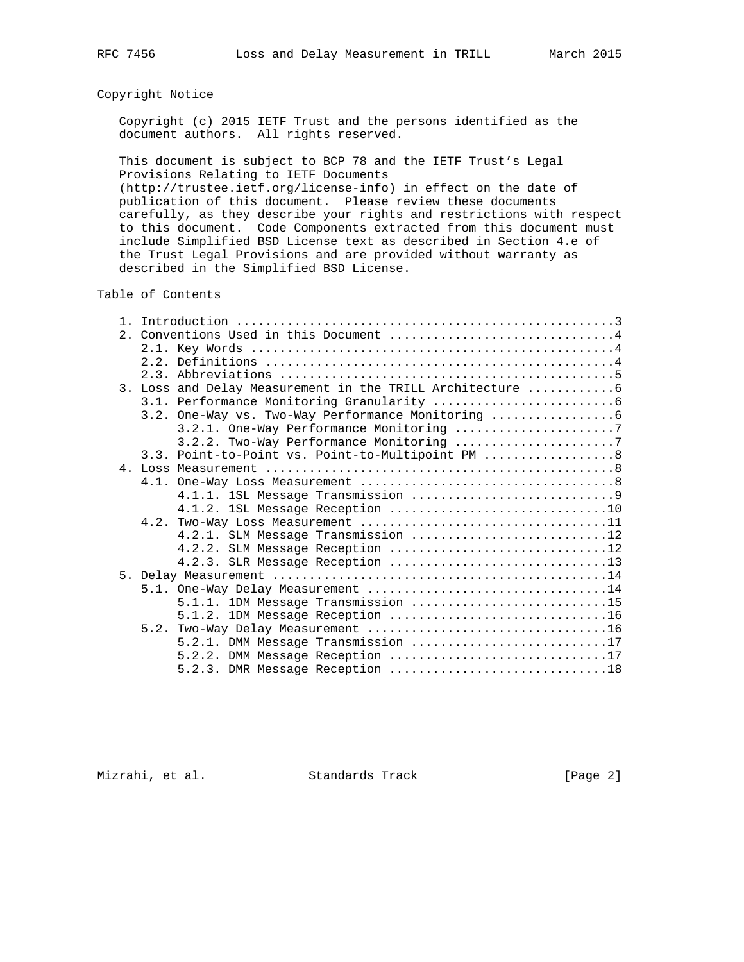# Copyright Notice

 Copyright (c) 2015 IETF Trust and the persons identified as the document authors. All rights reserved.

 This document is subject to BCP 78 and the IETF Trust's Legal Provisions Relating to IETF Documents

 (http://trustee.ietf.org/license-info) in effect on the date of publication of this document. Please review these documents carefully, as they describe your rights and restrictions with respect to this document. Code Components extracted from this document must include Simplified BSD License text as described in Section 4.e of the Trust Legal Provisions and are provided without warranty as described in the Simplified BSD License.

# Table of Contents

| 2. Conventions Used in this Document 4                     |  |  |
|------------------------------------------------------------|--|--|
|                                                            |  |  |
|                                                            |  |  |
|                                                            |  |  |
| 3. Loss and Delay Measurement in the TRILL Architecture  6 |  |  |
|                                                            |  |  |
| 3.2. One-Way vs. Two-Way Performance Monitoring            |  |  |
| 3.2.1. One-Way Performance Monitoring 7                    |  |  |
| 3.2.2. Two-Way Performance Monitoring 7                    |  |  |
| 3.3. Point-to-Point vs. Point-to-Multipoint PM  8          |  |  |
|                                                            |  |  |
|                                                            |  |  |
|                                                            |  |  |
|                                                            |  |  |
|                                                            |  |  |
| 4.2.1. SLM Message Transmission 12                         |  |  |
| 4.2.2. SLM Message Reception 12                            |  |  |
| 4.2.3. SLR Message Reception 13                            |  |  |
|                                                            |  |  |
| 5.1. One-Way Delay Measurement 14                          |  |  |
| 5.1.1. IDM Message Transmission 15                         |  |  |
|                                                            |  |  |
|                                                            |  |  |
| 5.2.1. DMM Message Transmission 17                         |  |  |
| 5.2.2. DMM Message Reception 17                            |  |  |
|                                                            |  |  |

Mizrahi, et al. Standards Track [Page 2]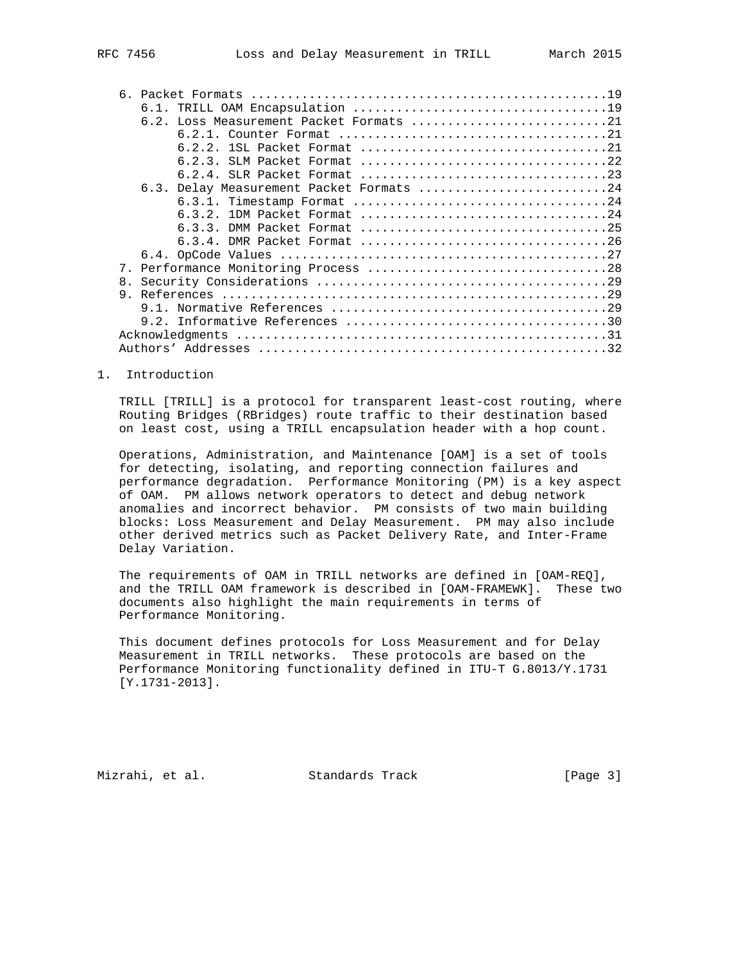|    | $6.1$ .                                  |
|----|------------------------------------------|
|    | 6.2. Loss Measurement Packet Formats 21  |
|    |                                          |
|    |                                          |
|    |                                          |
|    |                                          |
|    | 6.3. Delay Measurement Packet Formats 24 |
|    |                                          |
|    |                                          |
|    |                                          |
|    | $6.3.4$ . DMR Packet Format 26           |
|    |                                          |
|    |                                          |
| 8. |                                          |
|    |                                          |
|    |                                          |
|    |                                          |
|    |                                          |
|    |                                          |
|    |                                          |

### 1. Introduction

 TRILL [TRILL] is a protocol for transparent least-cost routing, where Routing Bridges (RBridges) route traffic to their destination based on least cost, using a TRILL encapsulation header with a hop count.

 Operations, Administration, and Maintenance [OAM] is a set of tools for detecting, isolating, and reporting connection failures and performance degradation. Performance Monitoring (PM) is a key aspect of OAM. PM allows network operators to detect and debug network anomalies and incorrect behavior. PM consists of two main building blocks: Loss Measurement and Delay Measurement. PM may also include other derived metrics such as Packet Delivery Rate, and Inter-Frame Delay Variation.

 The requirements of OAM in TRILL networks are defined in [OAM-REQ], and the TRILL OAM framework is described in [OAM-FRAMEWK]. These two documents also highlight the main requirements in terms of Performance Monitoring.

 This document defines protocols for Loss Measurement and for Delay Measurement in TRILL networks. These protocols are based on the Performance Monitoring functionality defined in ITU-T G.8013/Y.1731 [Y.1731-2013].

Mizrahi, et al. Standards Track [Page 3]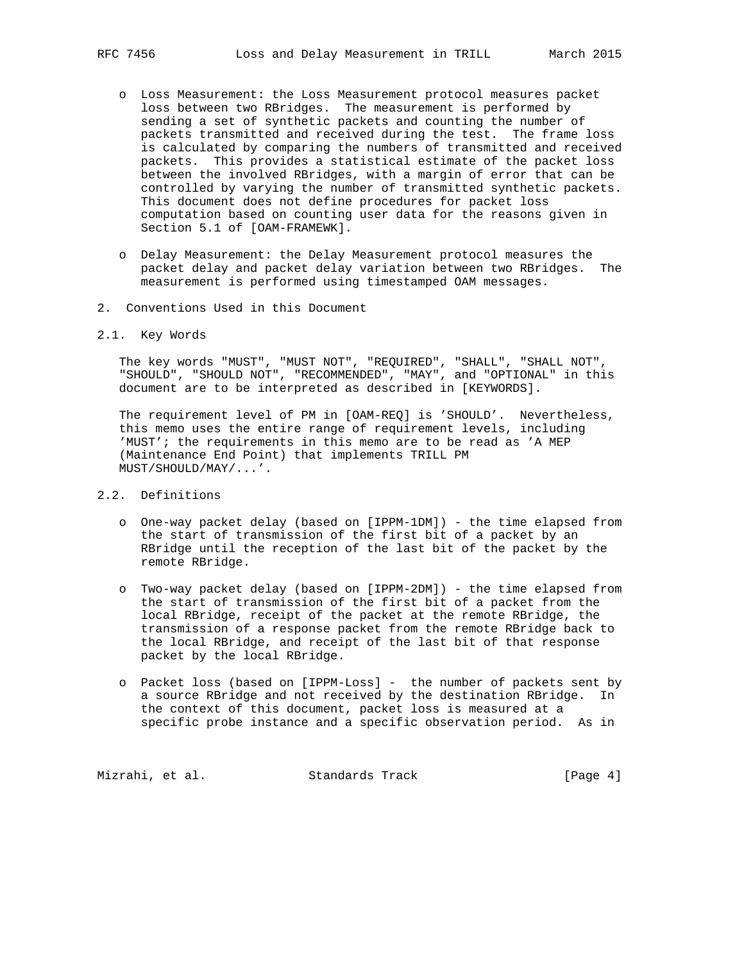- o Loss Measurement: the Loss Measurement protocol measures packet loss between two RBridges. The measurement is performed by sending a set of synthetic packets and counting the number of packets transmitted and received during the test. The frame loss is calculated by comparing the numbers of transmitted and received packets. This provides a statistical estimate of the packet loss between the involved RBridges, with a margin of error that can be controlled by varying the number of transmitted synthetic packets. This document does not define procedures for packet loss computation based on counting user data for the reasons given in Section 5.1 of [OAM-FRAMEWK].
- o Delay Measurement: the Delay Measurement protocol measures the packet delay and packet delay variation between two RBridges. The measurement is performed using timestamped OAM messages.
- 2. Conventions Used in this Document
- 2.1. Key Words

 The key words "MUST", "MUST NOT", "REQUIRED", "SHALL", "SHALL NOT", "SHOULD", "SHOULD NOT", "RECOMMENDED", "MAY", and "OPTIONAL" in this document are to be interpreted as described in [KEYWORDS].

 The requirement level of PM in [OAM-REQ] is 'SHOULD'. Nevertheless, this memo uses the entire range of requirement levels, including 'MUST'; the requirements in this memo are to be read as 'A MEP (Maintenance End Point) that implements TRILL PM MUST/SHOULD/MAY/...'.

- 2.2. Definitions
	- o One-way packet delay (based on [IPPM-1DM]) the time elapsed from the start of transmission of the first bit of a packet by an RBridge until the reception of the last bit of the packet by the remote RBridge.
	- o Two-way packet delay (based on [IPPM-2DM]) the time elapsed from the start of transmission of the first bit of a packet from the local RBridge, receipt of the packet at the remote RBridge, the transmission of a response packet from the remote RBridge back to the local RBridge, and receipt of the last bit of that response packet by the local RBridge.
	- o Packet loss (based on [IPPM-Loss] the number of packets sent by a source RBridge and not received by the destination RBridge. In the context of this document, packet loss is measured at a specific probe instance and a specific observation period. As in

Mizrahi, et al. Standards Track [Page 4]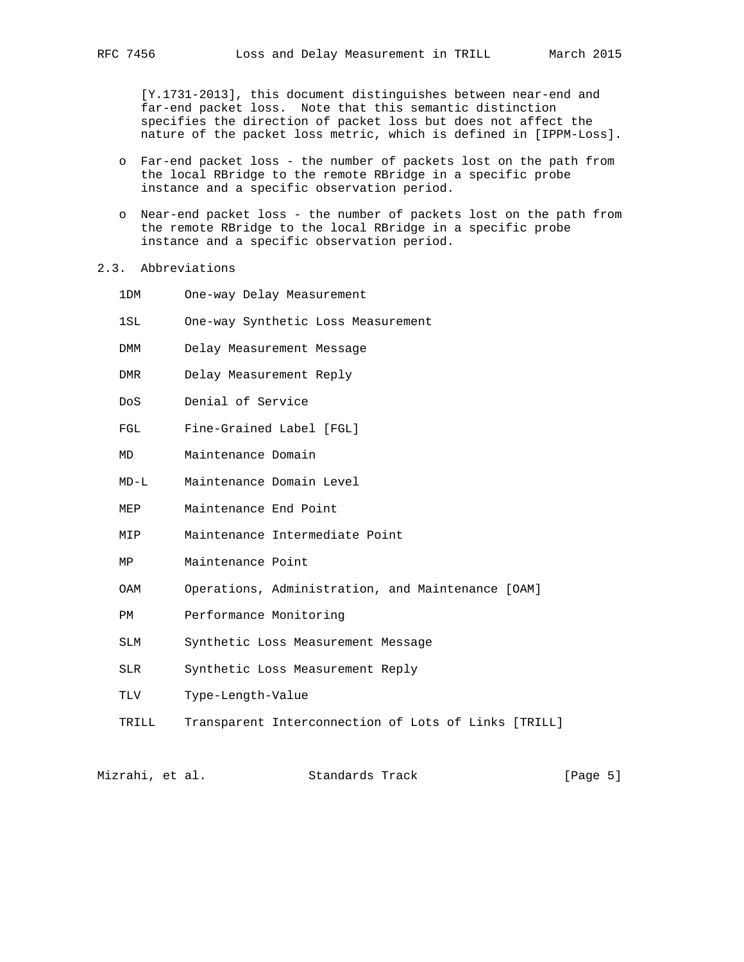[Y.1731-2013], this document distinguishes between near-end and far-end packet loss. Note that this semantic distinction specifies the direction of packet loss but does not affect the nature of the packet loss metric, which is defined in [IPPM-Loss].

- o Far-end packet loss the number of packets lost on the path from the local RBridge to the remote RBridge in a specific probe instance and a specific observation period.
- o Near-end packet loss the number of packets lost on the path from the remote RBridge to the local RBridge in a specific probe instance and a specific observation period.
- 2.3. Abbreviations
	- 1DM One-way Delay Measurement
	- 1SL One-way Synthetic Loss Measurement
	- DMM Delay Measurement Message
	- DMR Delay Measurement Reply
	- DoS Denial of Service
	- FGL Fine-Grained Label [FGL]
	- MD Maintenance Domain
	- MD-L Maintenance Domain Level
	- MEP Maintenance End Point
	- MIP Maintenance Intermediate Point
	- MP Maintenance Point
	- OAM Operations, Administration, and Maintenance [OAM]
	- PM Performance Monitoring
	- SLM Synthetic Loss Measurement Message
	- SLR Synthetic Loss Measurement Reply
	- TLV Type-Length-Value
	- TRILL Transparent Interconnection of Lots of Links [TRILL]

Mizrahi, et al. Standards Track [Page 5]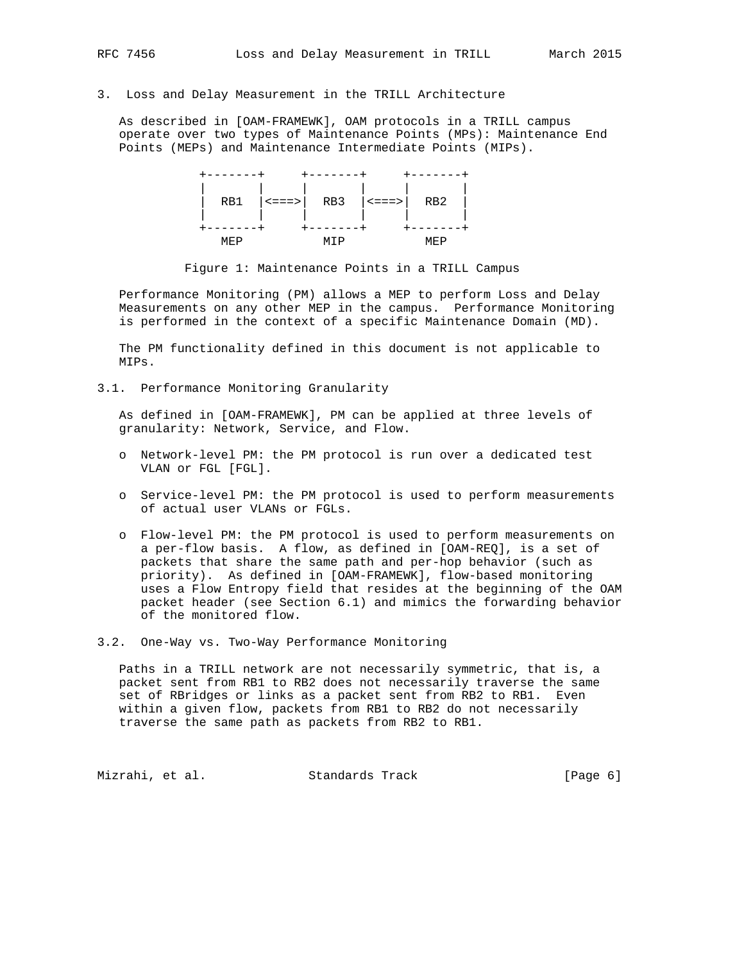3. Loss and Delay Measurement in the TRILL Architecture

 As described in [OAM-FRAMEWK], OAM protocols in a TRILL campus operate over two types of Maintenance Points (MPs): Maintenance End Points (MEPs) and Maintenance Intermediate Points (MIPs).

|      | RB1 $  \leq == >  $ RB3 $  \leq == >  $ RB2 $ $ |      |  |
|------|-------------------------------------------------|------|--|
|      |                                                 |      |  |
| MF.P |                                                 | IE P |  |

Figure 1: Maintenance Points in a TRILL Campus

 Performance Monitoring (PM) allows a MEP to perform Loss and Delay Measurements on any other MEP in the campus. Performance Monitoring is performed in the context of a specific Maintenance Domain (MD).

 The PM functionality defined in this document is not applicable to MIPs.

3.1. Performance Monitoring Granularity

 As defined in [OAM-FRAMEWK], PM can be applied at three levels of granularity: Network, Service, and Flow.

- o Network-level PM: the PM protocol is run over a dedicated test VLAN or FGL [FGL].
- o Service-level PM: the PM protocol is used to perform measurements of actual user VLANs or FGLs.
- o Flow-level PM: the PM protocol is used to perform measurements on a per-flow basis. A flow, as defined in [OAM-REQ], is a set of packets that share the same path and per-hop behavior (such as priority). As defined in [OAM-FRAMEWK], flow-based monitoring uses a Flow Entropy field that resides at the beginning of the OAM packet header (see Section 6.1) and mimics the forwarding behavior of the monitored flow.
- 3.2. One-Way vs. Two-Way Performance Monitoring

 Paths in a TRILL network are not necessarily symmetric, that is, a packet sent from RB1 to RB2 does not necessarily traverse the same set of RBridges or links as a packet sent from RB2 to RB1. Even within a given flow, packets from RB1 to RB2 do not necessarily traverse the same path as packets from RB2 to RB1.

Mizrahi, et al. Standards Track [Page 6]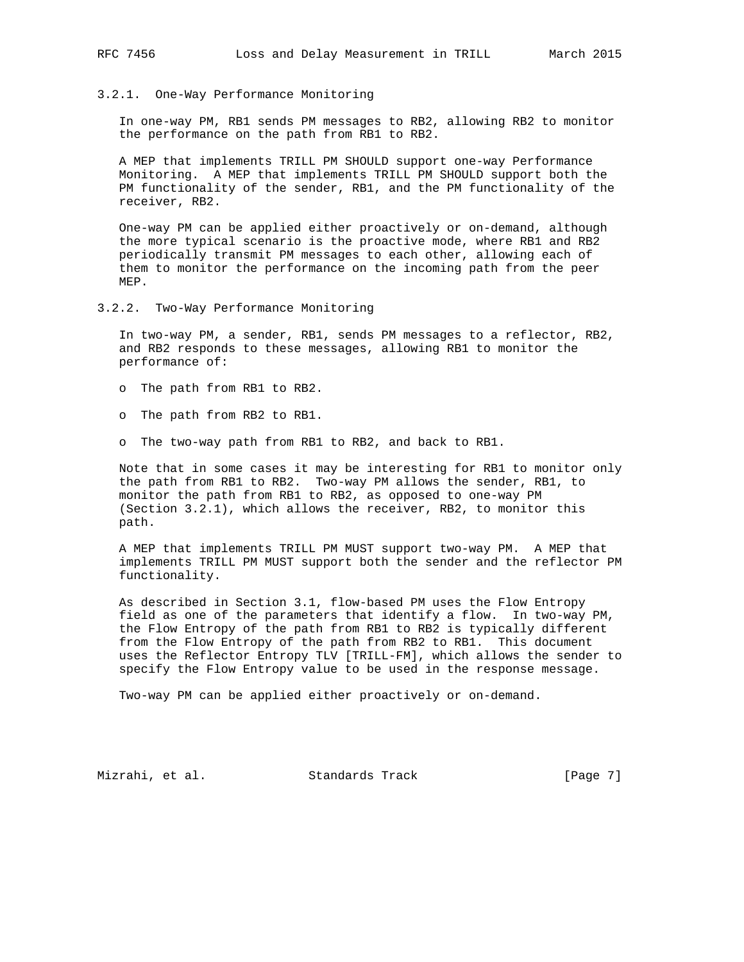## 3.2.1. One-Way Performance Monitoring

 In one-way PM, RB1 sends PM messages to RB2, allowing RB2 to monitor the performance on the path from RB1 to RB2.

 A MEP that implements TRILL PM SHOULD support one-way Performance Monitoring. A MEP that implements TRILL PM SHOULD support both the PM functionality of the sender, RB1, and the PM functionality of the receiver, RB2.

 One-way PM can be applied either proactively or on-demand, although the more typical scenario is the proactive mode, where RB1 and RB2 periodically transmit PM messages to each other, allowing each of them to monitor the performance on the incoming path from the peer MEP.

3.2.2. Two-Way Performance Monitoring

 In two-way PM, a sender, RB1, sends PM messages to a reflector, RB2, and RB2 responds to these messages, allowing RB1 to monitor the performance of:

- o The path from RB1 to RB2.
- o The path from RB2 to RB1.
- o The two-way path from RB1 to RB2, and back to RB1.

 Note that in some cases it may be interesting for RB1 to monitor only the path from RB1 to RB2. Two-way PM allows the sender, RB1, to monitor the path from RB1 to RB2, as opposed to one-way PM (Section 3.2.1), which allows the receiver, RB2, to monitor this path.

 A MEP that implements TRILL PM MUST support two-way PM. A MEP that implements TRILL PM MUST support both the sender and the reflector PM functionality.

 As described in Section 3.1, flow-based PM uses the Flow Entropy field as one of the parameters that identify a flow. In two-way PM, the Flow Entropy of the path from RB1 to RB2 is typically different from the Flow Entropy of the path from RB2 to RB1. This document uses the Reflector Entropy TLV [TRILL-FM], which allows the sender to specify the Flow Entropy value to be used in the response message.

Two-way PM can be applied either proactively or on-demand.

Mizrahi, et al. Standards Track [Page 7]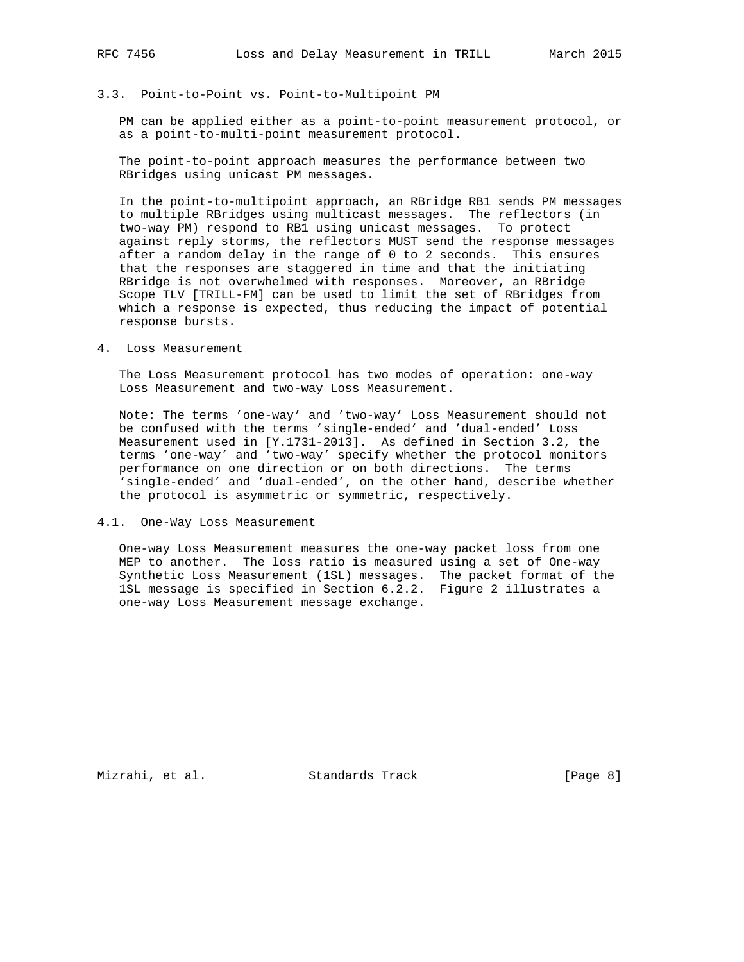# 3.3. Point-to-Point vs. Point-to-Multipoint PM

 PM can be applied either as a point-to-point measurement protocol, or as a point-to-multi-point measurement protocol.

 The point-to-point approach measures the performance between two RBridges using unicast PM messages.

 In the point-to-multipoint approach, an RBridge RB1 sends PM messages to multiple RBridges using multicast messages. The reflectors (in two-way PM) respond to RB1 using unicast messages. To protect against reply storms, the reflectors MUST send the response messages after a random delay in the range of 0 to 2 seconds. This ensures that the responses are staggered in time and that the initiating RBridge is not overwhelmed with responses. Moreover, an RBridge Scope TLV [TRILL-FM] can be used to limit the set of RBridges from which a response is expected, thus reducing the impact of potential response bursts.

4. Loss Measurement

 The Loss Measurement protocol has two modes of operation: one-way Loss Measurement and two-way Loss Measurement.

 Note: The terms 'one-way' and 'two-way' Loss Measurement should not be confused with the terms 'single-ended' and 'dual-ended' Loss Measurement used in [Y.1731-2013]. As defined in Section 3.2, the terms 'one-way' and 'two-way' specify whether the protocol monitors performance on one direction or on both directions. The terms 'single-ended' and 'dual-ended', on the other hand, describe whether the protocol is asymmetric or symmetric, respectively.

4.1. One-Way Loss Measurement

 One-way Loss Measurement measures the one-way packet loss from one MEP to another. The loss ratio is measured using a set of One-way Synthetic Loss Measurement (1SL) messages. The packet format of the 1SL message is specified in Section 6.2.2. Figure 2 illustrates a one-way Loss Measurement message exchange.

Mizrahi, et al. Standards Track [Page 8]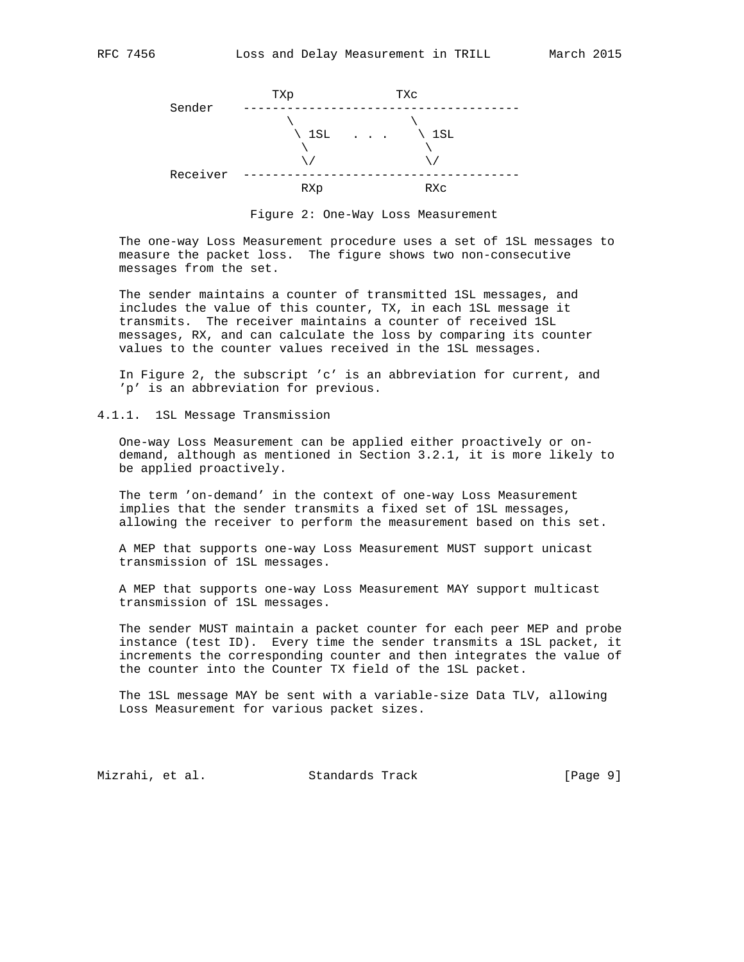

Figure 2: One-Way Loss Measurement

 The one-way Loss Measurement procedure uses a set of 1SL messages to measure the packet loss. The figure shows two non-consecutive messages from the set.

 The sender maintains a counter of transmitted 1SL messages, and includes the value of this counter, TX, in each 1SL message it transmits. The receiver maintains a counter of received 1SL messages, RX, and can calculate the loss by comparing its counter values to the counter values received in the 1SL messages.

 In Figure 2, the subscript 'c' is an abbreviation for current, and 'p' is an abbreviation for previous.

4.1.1. 1SL Message Transmission

 One-way Loss Measurement can be applied either proactively or on demand, although as mentioned in Section 3.2.1, it is more likely to be applied proactively.

 The term 'on-demand' in the context of one-way Loss Measurement implies that the sender transmits a fixed set of 1SL messages, allowing the receiver to perform the measurement based on this set.

 A MEP that supports one-way Loss Measurement MUST support unicast transmission of 1SL messages.

 A MEP that supports one-way Loss Measurement MAY support multicast transmission of 1SL messages.

 The sender MUST maintain a packet counter for each peer MEP and probe instance (test ID). Every time the sender transmits a 1SL packet, it increments the corresponding counter and then integrates the value of the counter into the Counter TX field of the 1SL packet.

 The 1SL message MAY be sent with a variable-size Data TLV, allowing Loss Measurement for various packet sizes.

Mizrahi, et al. Standards Track [Page 9]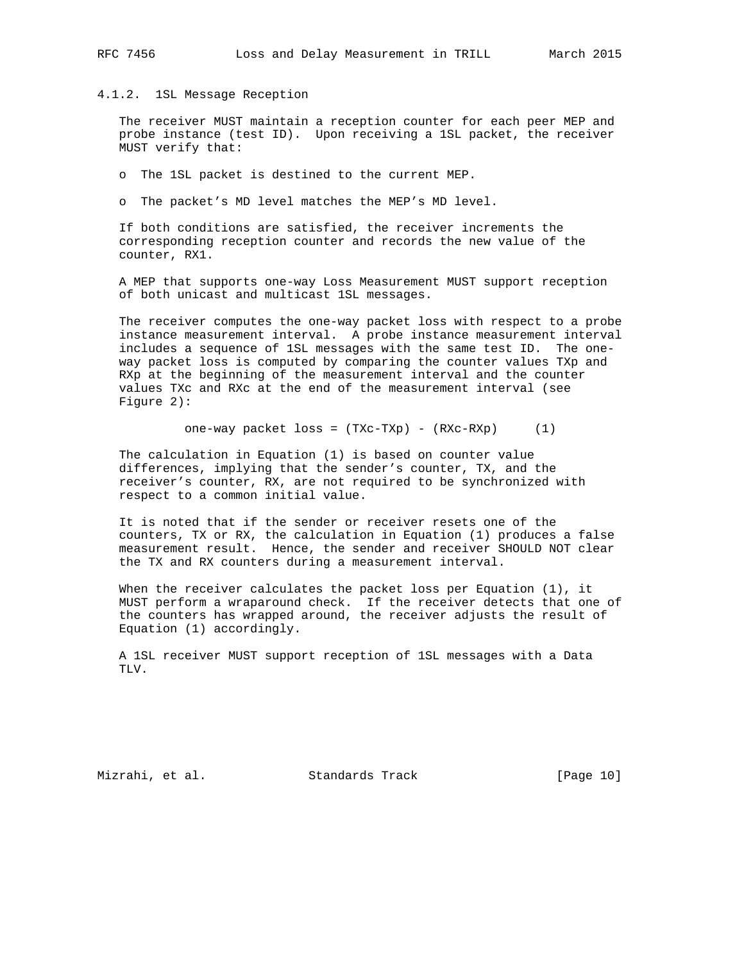## 4.1.2. 1SL Message Reception

 The receiver MUST maintain a reception counter for each peer MEP and probe instance (test ID). Upon receiving a 1SL packet, the receiver MUST verify that:

o The 1SL packet is destined to the current MEP.

o The packet's MD level matches the MEP's MD level.

 If both conditions are satisfied, the receiver increments the corresponding reception counter and records the new value of the counter, RX1.

 A MEP that supports one-way Loss Measurement MUST support reception of both unicast and multicast 1SL messages.

 The receiver computes the one-way packet loss with respect to a probe instance measurement interval. A probe instance measurement interval includes a sequence of 1SL messages with the same test ID. The one way packet loss is computed by comparing the counter values TXp and RXp at the beginning of the measurement interval and the counter values TXc and RXc at the end of the measurement interval (see Figure 2):

one-way packet loss = (TXc-TXp) - (RXc-RXp) (1)

 The calculation in Equation (1) is based on counter value differences, implying that the sender's counter, TX, and the receiver's counter, RX, are not required to be synchronized with respect to a common initial value.

 It is noted that if the sender or receiver resets one of the counters, TX or RX, the calculation in Equation (1) produces a false measurement result. Hence, the sender and receiver SHOULD NOT clear the TX and RX counters during a measurement interval.

 When the receiver calculates the packet loss per Equation (1), it MUST perform a wraparound check. If the receiver detects that one of the counters has wrapped around, the receiver adjusts the result of Equation (1) accordingly.

 A 1SL receiver MUST support reception of 1SL messages with a Data TLV.

Mizrahi, et al. Standards Track [Page 10]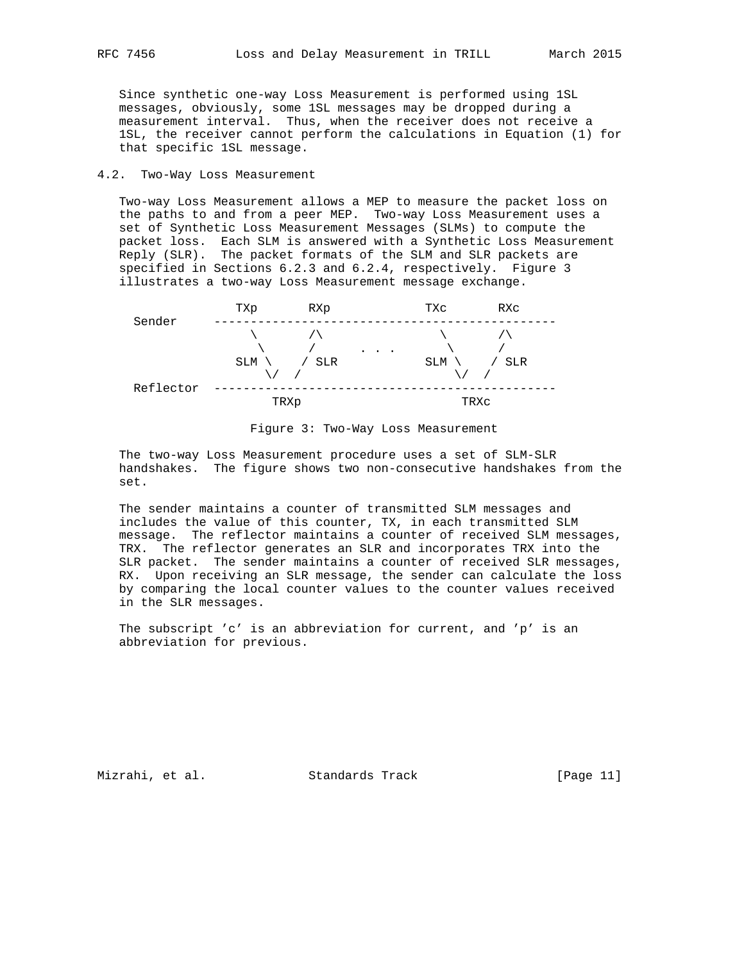Since synthetic one-way Loss Measurement is performed using 1SL messages, obviously, some 1SL messages may be dropped during a measurement interval. Thus, when the receiver does not receive a 1SL, the receiver cannot perform the calculations in Equation (1) for that specific 1SL message.

# 4.2. Two-Way Loss Measurement

 Two-way Loss Measurement allows a MEP to measure the packet loss on the paths to and from a peer MEP. Two-way Loss Measurement uses a set of Synthetic Loss Measurement Messages (SLMs) to compute the packet loss. Each SLM is answered with a Synthetic Loss Measurement Reply (SLR). The packet formats of the SLM and SLR packets are specified in Sections 6.2.3 and 6.2.4, respectively. Figure 3 illustrates a two-way Loss Measurement message exchange.



Figure 3: Two-Way Loss Measurement

 The two-way Loss Measurement procedure uses a set of SLM-SLR handshakes. The figure shows two non-consecutive handshakes from the set.

 The sender maintains a counter of transmitted SLM messages and includes the value of this counter, TX, in each transmitted SLM message. The reflector maintains a counter of received SLM messages, TRX. The reflector generates an SLR and incorporates TRX into the SLR packet. The sender maintains a counter of received SLR messages, RX. Upon receiving an SLR message, the sender can calculate the loss by comparing the local counter values to the counter values received in the SLR messages.

 The subscript 'c' is an abbreviation for current, and 'p' is an abbreviation for previous.

Mizrahi, et al. Standards Track [Page 11]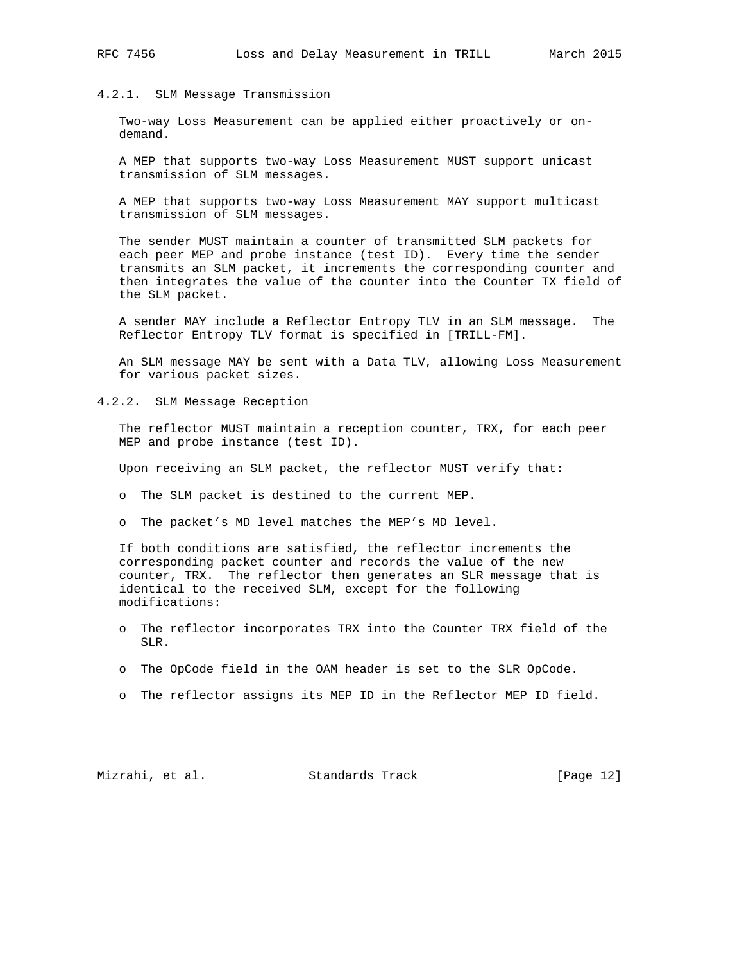## 4.2.1. SLM Message Transmission

 Two-way Loss Measurement can be applied either proactively or on demand.

 A MEP that supports two-way Loss Measurement MUST support unicast transmission of SLM messages.

 A MEP that supports two-way Loss Measurement MAY support multicast transmission of SLM messages.

 The sender MUST maintain a counter of transmitted SLM packets for each peer MEP and probe instance (test ID). Every time the sender transmits an SLM packet, it increments the corresponding counter and then integrates the value of the counter into the Counter TX field of the SLM packet.

 A sender MAY include a Reflector Entropy TLV in an SLM message. The Reflector Entropy TLV format is specified in [TRILL-FM].

 An SLM message MAY be sent with a Data TLV, allowing Loss Measurement for various packet sizes.

4.2.2. SLM Message Reception

 The reflector MUST maintain a reception counter, TRX, for each peer MEP and probe instance (test ID).

Upon receiving an SLM packet, the reflector MUST verify that:

o The SLM packet is destined to the current MEP.

o The packet's MD level matches the MEP's MD level.

 If both conditions are satisfied, the reflector increments the corresponding packet counter and records the value of the new counter, TRX. The reflector then generates an SLR message that is identical to the received SLM, except for the following modifications:

- o The reflector incorporates TRX into the Counter TRX field of the SLR.
- o The OpCode field in the OAM header is set to the SLR OpCode.
- o The reflector assigns its MEP ID in the Reflector MEP ID field.

Mizrahi, et al. Standards Track [Page 12]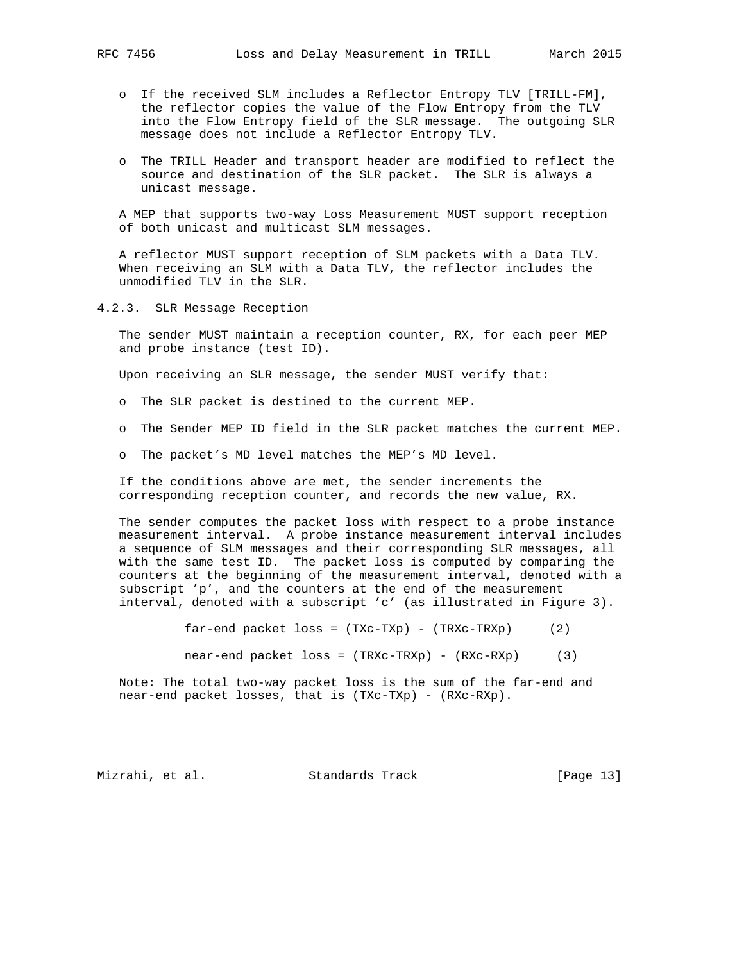- o If the received SLM includes a Reflector Entropy TLV [TRILL-FM], the reflector copies the value of the Flow Entropy from the TLV into the Flow Entropy field of the SLR message. The outgoing SLR message does not include a Reflector Entropy TLV.
- o The TRILL Header and transport header are modified to reflect the source and destination of the SLR packet. The SLR is always a unicast message.

 A MEP that supports two-way Loss Measurement MUST support reception of both unicast and multicast SLM messages.

 A reflector MUST support reception of SLM packets with a Data TLV. When receiving an SLM with a Data TLV, the reflector includes the unmodified TLV in the SLR.

4.2.3. SLR Message Reception

 The sender MUST maintain a reception counter, RX, for each peer MEP and probe instance (test ID).

Upon receiving an SLR message, the sender MUST verify that:

- o The SLR packet is destined to the current MEP.
- o The Sender MEP ID field in the SLR packet matches the current MEP.
- o The packet's MD level matches the MEP's MD level.

 If the conditions above are met, the sender increments the corresponding reception counter, and records the new value, RX.

 The sender computes the packet loss with respect to a probe instance measurement interval. A probe instance measurement interval includes a sequence of SLM messages and their corresponding SLR messages, all with the same test ID. The packet loss is computed by comparing the counters at the beginning of the measurement interval, denoted with a subscript 'p', and the counters at the end of the measurement interval, denoted with a subscript 'c' (as illustrated in Figure 3).

far-end packet  $loss = (TXC-TXp) - (TRXc-TRXp)$  (2)

near-end packet loss = (TRXc-TRXp) - (RXc-RXp) (3)

 Note: The total two-way packet loss is the sum of the far-end and near-end packet losses, that is (TXc-TXp) - (RXc-RXp).

Mizrahi, et al. Standards Track [Page 13]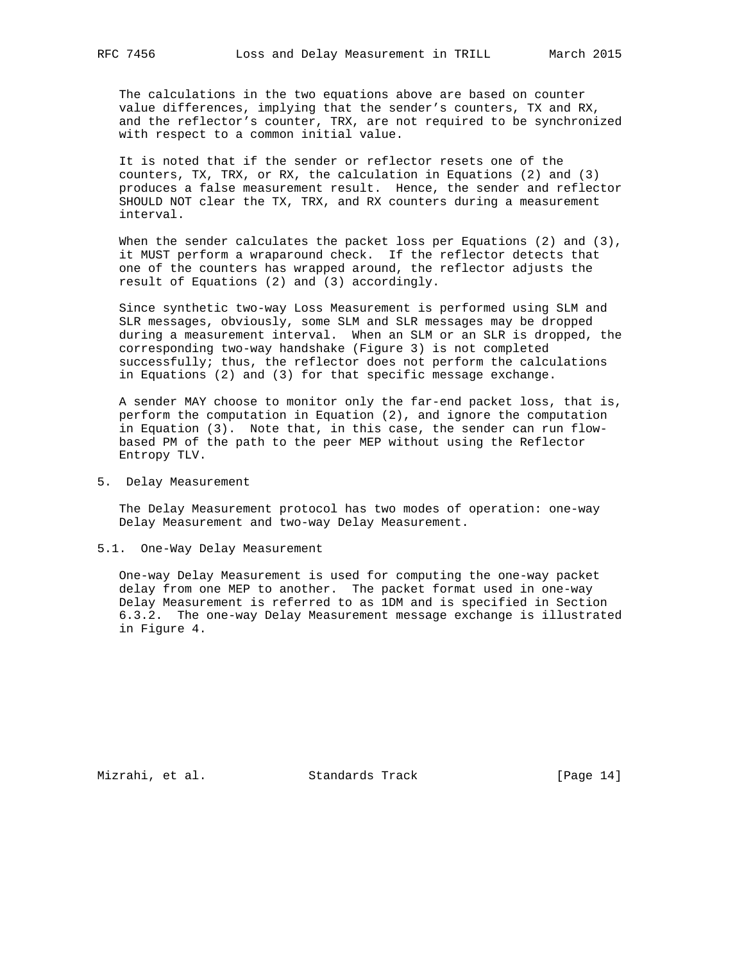The calculations in the two equations above are based on counter value differences, implying that the sender's counters, TX and RX, and the reflector's counter, TRX, are not required to be synchronized with respect to a common initial value.

 It is noted that if the sender or reflector resets one of the counters, TX, TRX, or RX, the calculation in Equations (2) and (3) produces a false measurement result. Hence, the sender and reflector SHOULD NOT clear the TX, TRX, and RX counters during a measurement interval.

When the sender calculates the packet loss per Equations  $(2)$  and  $(3)$ , it MUST perform a wraparound check. If the reflector detects that one of the counters has wrapped around, the reflector adjusts the result of Equations (2) and (3) accordingly.

 Since synthetic two-way Loss Measurement is performed using SLM and SLR messages, obviously, some SLM and SLR messages may be dropped during a measurement interval. When an SLM or an SLR is dropped, the corresponding two-way handshake (Figure 3) is not completed successfully; thus, the reflector does not perform the calculations in Equations (2) and (3) for that specific message exchange.

 A sender MAY choose to monitor only the far-end packet loss, that is, perform the computation in Equation (2), and ignore the computation in Equation (3). Note that, in this case, the sender can run flow based PM of the path to the peer MEP without using the Reflector Entropy TLV.

5. Delay Measurement

 The Delay Measurement protocol has two modes of operation: one-way Delay Measurement and two-way Delay Measurement.

5.1. One-Way Delay Measurement

 One-way Delay Measurement is used for computing the one-way packet delay from one MEP to another. The packet format used in one-way Delay Measurement is referred to as 1DM and is specified in Section 6.3.2. The one-way Delay Measurement message exchange is illustrated in Figure 4.

Mizrahi, et al. Standards Track [Page 14]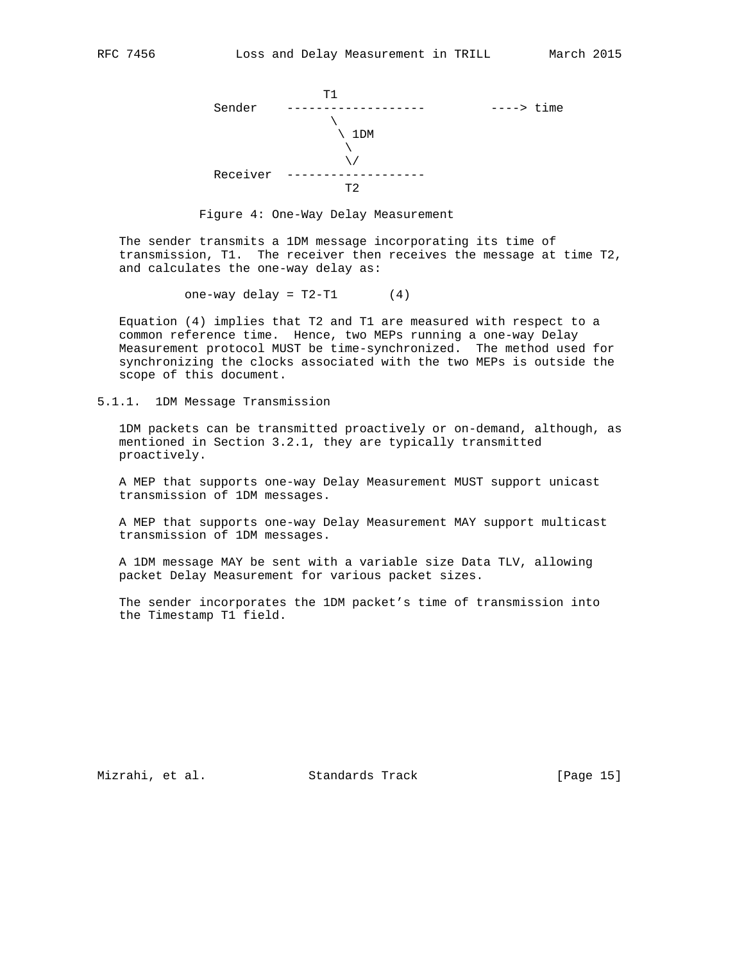



 The sender transmits a 1DM message incorporating its time of transmission, T1. The receiver then receives the message at time T2, and calculates the one-way delay as:

one-way delay =  $T2-T1$  (4)

 Equation (4) implies that T2 and T1 are measured with respect to a common reference time. Hence, two MEPs running a one-way Delay Measurement protocol MUST be time-synchronized. The method used for synchronizing the clocks associated with the two MEPs is outside the scope of this document.

5.1.1. 1DM Message Transmission

 1DM packets can be transmitted proactively or on-demand, although, as mentioned in Section 3.2.1, they are typically transmitted proactively.

 A MEP that supports one-way Delay Measurement MUST support unicast transmission of 1DM messages.

 A MEP that supports one-way Delay Measurement MAY support multicast transmission of 1DM messages.

 A 1DM message MAY be sent with a variable size Data TLV, allowing packet Delay Measurement for various packet sizes.

 The sender incorporates the 1DM packet's time of transmission into the Timestamp T1 field.

Mizrahi, et al. Standards Track [Page 15]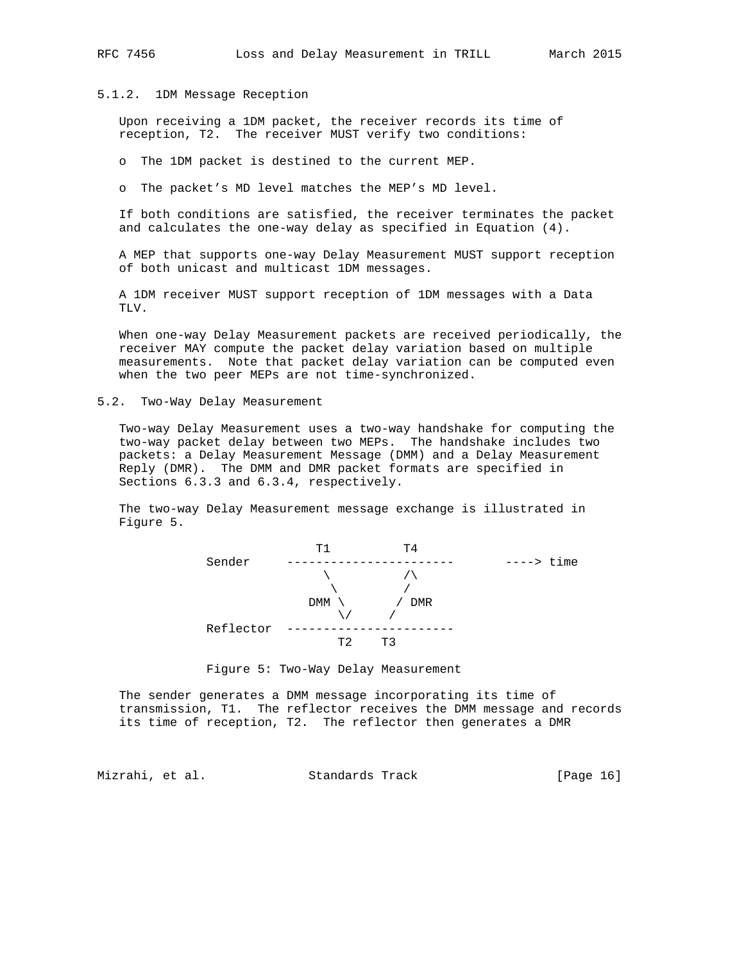### 5.1.2. 1DM Message Reception

 Upon receiving a 1DM packet, the receiver records its time of reception, T2. The receiver MUST verify two conditions:

o The 1DM packet is destined to the current MEP.

o The packet's MD level matches the MEP's MD level.

 If both conditions are satisfied, the receiver terminates the packet and calculates the one-way delay as specified in Equation (4).

 A MEP that supports one-way Delay Measurement MUST support reception of both unicast and multicast 1DM messages.

 A 1DM receiver MUST support reception of 1DM messages with a Data TLV.

 When one-way Delay Measurement packets are received periodically, the receiver MAY compute the packet delay variation based on multiple measurements. Note that packet delay variation can be computed even when the two peer MEPs are not time-synchronized.

5.2. Two-Way Delay Measurement

 Two-way Delay Measurement uses a two-way handshake for computing the two-way packet delay between two MEPs. The handshake includes two packets: a Delay Measurement Message (DMM) and a Delay Measurement Reply (DMR). The DMM and DMR packet formats are specified in Sections 6.3.3 and 6.3.4, respectively.

 The two-way Delay Measurement message exchange is illustrated in Figure 5.



Figure 5: Two-Way Delay Measurement

 The sender generates a DMM message incorporating its time of transmission, T1. The reflector receives the DMM message and records its time of reception, T2. The reflector then generates a DMR

Mizrahi, et al. Standards Track [Page 16]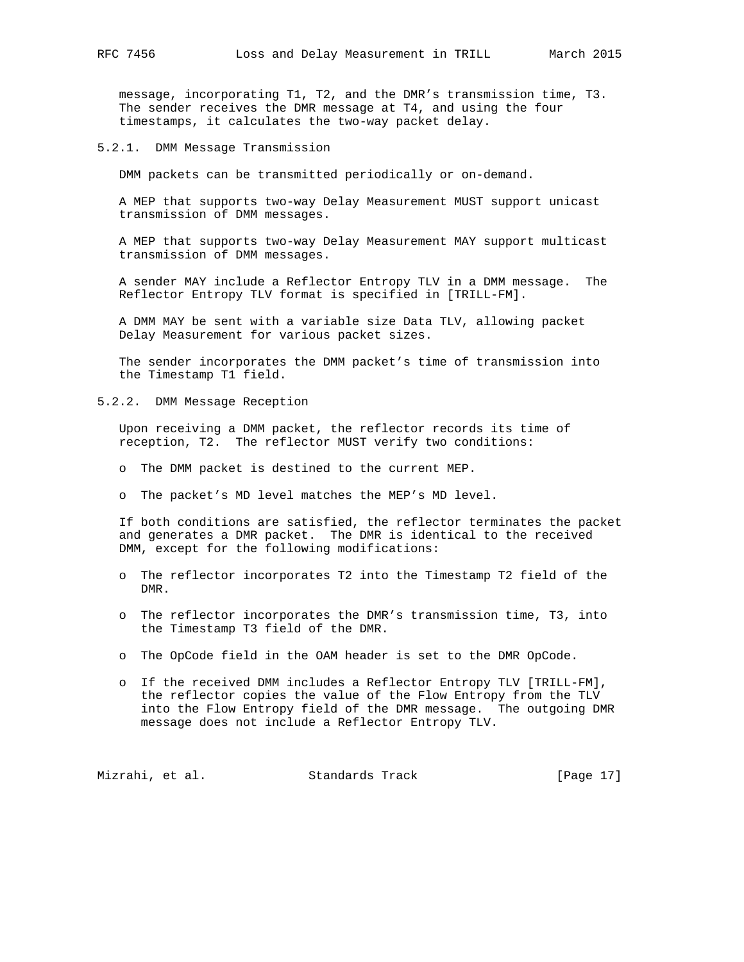message, incorporating T1, T2, and the DMR's transmission time, T3. The sender receives the DMR message at T4, and using the four timestamps, it calculates the two-way packet delay.

5.2.1. DMM Message Transmission

DMM packets can be transmitted periodically or on-demand.

 A MEP that supports two-way Delay Measurement MUST support unicast transmission of DMM messages.

 A MEP that supports two-way Delay Measurement MAY support multicast transmission of DMM messages.

 A sender MAY include a Reflector Entropy TLV in a DMM message. The Reflector Entropy TLV format is specified in [TRILL-FM].

 A DMM MAY be sent with a variable size Data TLV, allowing packet Delay Measurement for various packet sizes.

 The sender incorporates the DMM packet's time of transmission into the Timestamp T1 field.

5.2.2. DMM Message Reception

 Upon receiving a DMM packet, the reflector records its time of reception, T2. The reflector MUST verify two conditions:

- o The DMM packet is destined to the current MEP.
- o The packet's MD level matches the MEP's MD level.

 If both conditions are satisfied, the reflector terminates the packet and generates a DMR packet. The DMR is identical to the received DMM, except for the following modifications:

- o The reflector incorporates T2 into the Timestamp T2 field of the DMR.
- o The reflector incorporates the DMR's transmission time, T3, into the Timestamp T3 field of the DMR.
- o The OpCode field in the OAM header is set to the DMR OpCode.
- o If the received DMM includes a Reflector Entropy TLV [TRILL-FM], the reflector copies the value of the Flow Entropy from the TLV into the Flow Entropy field of the DMR message. The outgoing DMR message does not include a Reflector Entropy TLV.

Mizrahi, et al. Standards Track [Page 17]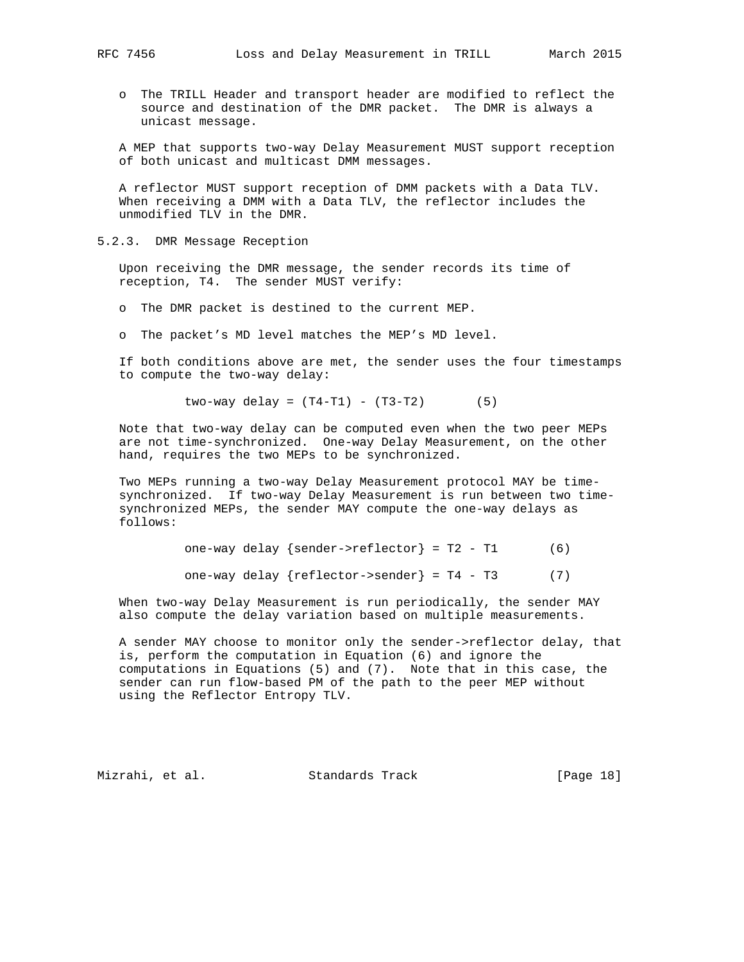- - o The TRILL Header and transport header are modified to reflect the source and destination of the DMR packet. The DMR is always a unicast message.

 A MEP that supports two-way Delay Measurement MUST support reception of both unicast and multicast DMM messages.

 A reflector MUST support reception of DMM packets with a Data TLV. When receiving a DMM with a Data TLV, the reflector includes the unmodified TLV in the DMR.

5.2.3. DMR Message Reception

 Upon receiving the DMR message, the sender records its time of reception, T4. The sender MUST verify:

o The DMR packet is destined to the current MEP.

o The packet's MD level matches the MEP's MD level.

 If both conditions above are met, the sender uses the four timestamps to compute the two-way delay:

 $two-way delay = (T4-T1) - (T3-T2)$  (5)

 Note that two-way delay can be computed even when the two peer MEPs are not time-synchronized. One-way Delay Measurement, on the other hand, requires the two MEPs to be synchronized.

 Two MEPs running a two-way Delay Measurement protocol MAY be time synchronized. If two-way Delay Measurement is run between two time synchronized MEPs, the sender MAY compute the one-way delays as follows:

one-way delay  $\{sender\text{-}reflector\} = T2 - T1$  (6)

one-way delay  $\{reflector->sender\} = T4 - T3$  (7)

 When two-way Delay Measurement is run periodically, the sender MAY also compute the delay variation based on multiple measurements.

 A sender MAY choose to monitor only the sender->reflector delay, that is, perform the computation in Equation (6) and ignore the computations in Equations (5) and (7). Note that in this case, the sender can run flow-based PM of the path to the peer MEP without using the Reflector Entropy TLV.

Mizrahi, et al. Standards Track [Page 18]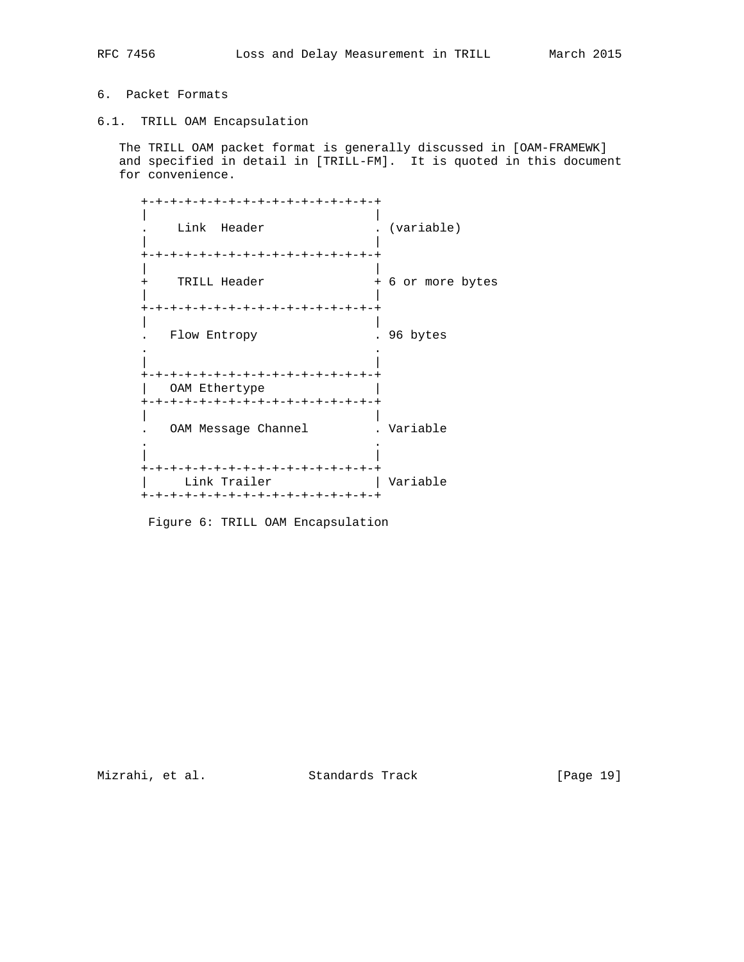# 6. Packet Formats

6.1. TRILL OAM Encapsulation

 The TRILL OAM packet format is generally discussed in [OAM-FRAMEWK] and specified in detail in [TRILL-FM]. It is quoted in this document for convenience.

| +-+-+-+-+-+-+-+-+-+-+-+-+-+-+-+-+                                                       |                   |
|-----------------------------------------------------------------------------------------|-------------------|
| Link Header                                                                             | . (variable)      |
| +-+-+-+-+-+-+-+-+-+-+-+-+-+-+-+-+                                                       |                   |
| TRILL Header<br>$+$                                                                     | + 6 or more bytes |
| +-+-+-+-+-+-+-+-+-+-+-+-+-+-+-+-+                                                       |                   |
| Flow Entropy                                                                            | 96 bytes          |
| +-+-+-+-+-+-+-+-+-+-+-+-+-+-+-+-+<br>OAM Ethertype                                      |                   |
| +-+-+-+-+-+-+-+-+-+-+-+-+-+-+-+-+                                                       |                   |
| OAM Message Channel                                                                     | . Variable        |
|                                                                                         |                   |
| +-+-+-+-+-+-+-+-+-+-+-+-+-+-+-+-+<br>Link Trailer<br>+-+-+-+-+-+-+-+-+-+-+-+-+-+-+-+-+- | Variable          |
|                                                                                         |                   |

Figure 6: TRILL OAM Encapsulation

Mizrahi, et al. Standards Track [Page 19]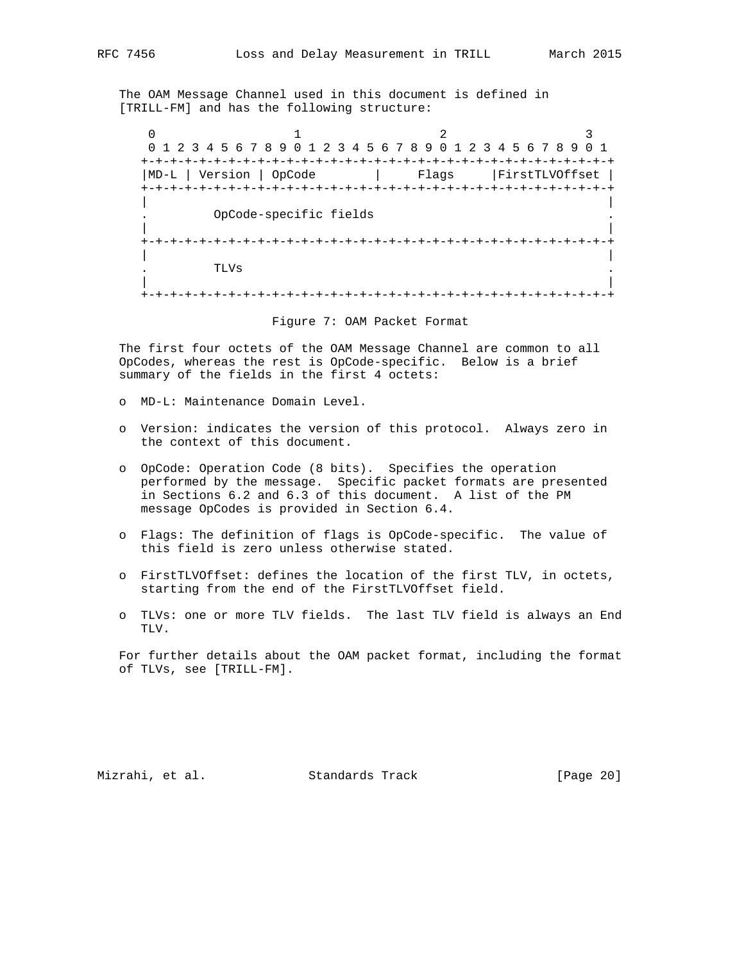The OAM Message Channel used in this document is defined in

[TRILL-FM] and has the following structure:

 $0$  1 2 3 0 1 2 3 4 5 6 7 8 9 0 1 2 3 4 5 6 7 8 9 0 1 2 3 4 5 6 7 8 9 0 1 +-+-+-+-+-+-+-+-+-+-+-+-+-+-+-+-+-+-+-+-+-+-+-+-+-+-+-+-+-+-+-+-+ |MD-L | Version | OpCode | Flags |FirstTLVOffset | +-+-+-+-+-+-+-+-+-+-+-+-+-+-+-+-+-+-+-+-+-+-+-+-+-+-+-+-+-+-+-+-+ | | . OpCode-specific fields . | | +-+-+-+-+-+-+-+-+-+-+-+-+-+-+-+-+-+-+-+-+-+-+-+-+-+-+-+-+-+-+-+-+ | | . TLVs . | | +-+-+-+-+-+-+-+-+-+-+-+-+-+-+-+-+-+-+-+-+-+-+-+-+-+-+-+-+-+-+-+-+

Figure 7: OAM Packet Format

 The first four octets of the OAM Message Channel are common to all OpCodes, whereas the rest is OpCode-specific. Below is a brief summary of the fields in the first 4 octets:

- o MD-L: Maintenance Domain Level.
- o Version: indicates the version of this protocol. Always zero in the context of this document.
- o OpCode: Operation Code (8 bits). Specifies the operation performed by the message. Specific packet formats are presented in Sections 6.2 and 6.3 of this document. A list of the PM message OpCodes is provided in Section 6.4.
- o Flags: The definition of flags is OpCode-specific. The value of this field is zero unless otherwise stated.
- o FirstTLVOffset: defines the location of the first TLV, in octets, starting from the end of the FirstTLVOffset field.
- o TLVs: one or more TLV fields. The last TLV field is always an End TLV.

 For further details about the OAM packet format, including the format of TLVs, see [TRILL-FM].

Mizrahi, et al. Standards Track [Page 20]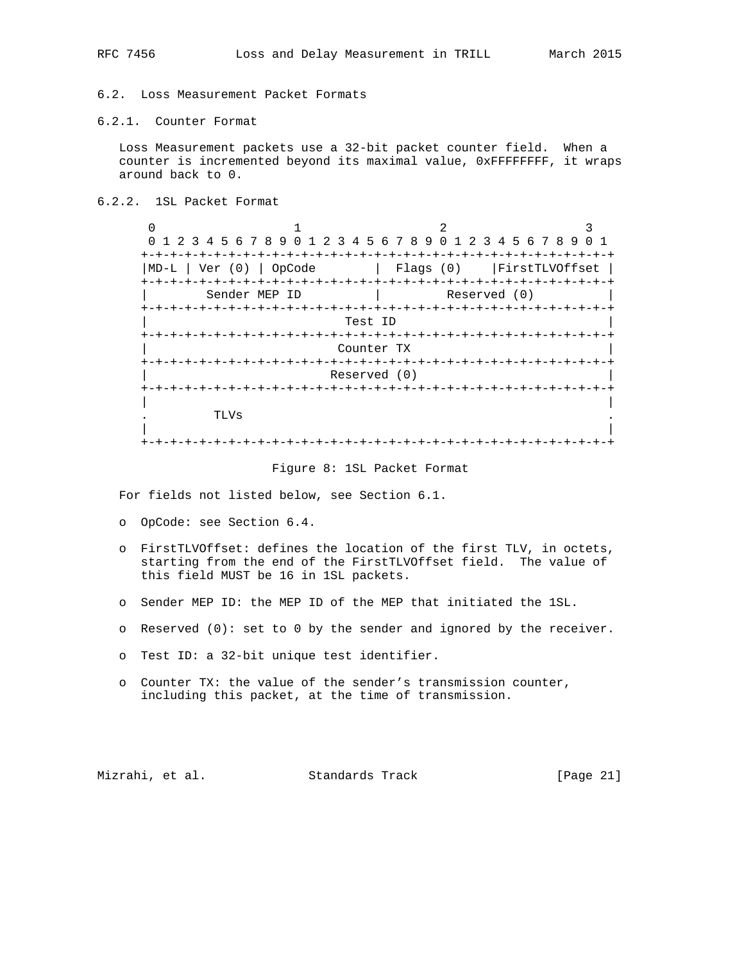# 6.2. Loss Measurement Packet Formats

# 6.2.1. Counter Format

 Loss Measurement packets use a 32-bit packet counter field. When a counter is incremented beyond its maximal value, 0xFFFFFFFF, it wraps around back to 0.

6.2.2. 1SL Packet Format

| $\cap$ | 1 2 3 4 5 6 7 8 9 0 1 2 3 4 5 6 7 8 9 0 1 2 3 4 5 6 7 8 9 |              |                |  |
|--------|-----------------------------------------------------------|--------------|----------------|--|
|        |                                                           |              |                |  |
| MD-L   | Ver $(0)$  <br>OpCode                                     | $Flags (0)$  | FirstTLVOffset |  |
|        |                                                           |              |                |  |
|        | Sender MEP ID                                             | Reserved (0) |                |  |
|        |                                                           |              |                |  |
|        | Test ID                                                   |              |                |  |
|        |                                                           |              |                |  |
|        | Counter TX                                                |              |                |  |
|        | -+-+-+-+-+-+-+-+-                                         |              |                |  |
|        |                                                           | Reserved (0) |                |  |
|        |                                                           |              |                |  |
|        |                                                           |              |                |  |
|        | TLVs                                                      |              |                |  |
|        |                                                           |              |                |  |
|        |                                                           |              |                |  |

#### Figure 8: 1SL Packet Format

For fields not listed below, see Section 6.1.

- o OpCode: see Section 6.4.
- o FirstTLVOffset: defines the location of the first TLV, in octets, starting from the end of the FirstTLVOffset field. The value of this field MUST be 16 in 1SL packets.
- o Sender MEP ID: the MEP ID of the MEP that initiated the 1SL.
- o Reserved (0): set to 0 by the sender and ignored by the receiver.
- o Test ID: a 32-bit unique test identifier.
- o Counter TX: the value of the sender's transmission counter, including this packet, at the time of transmission.

Mizrahi, et al. Standards Track [Page 21]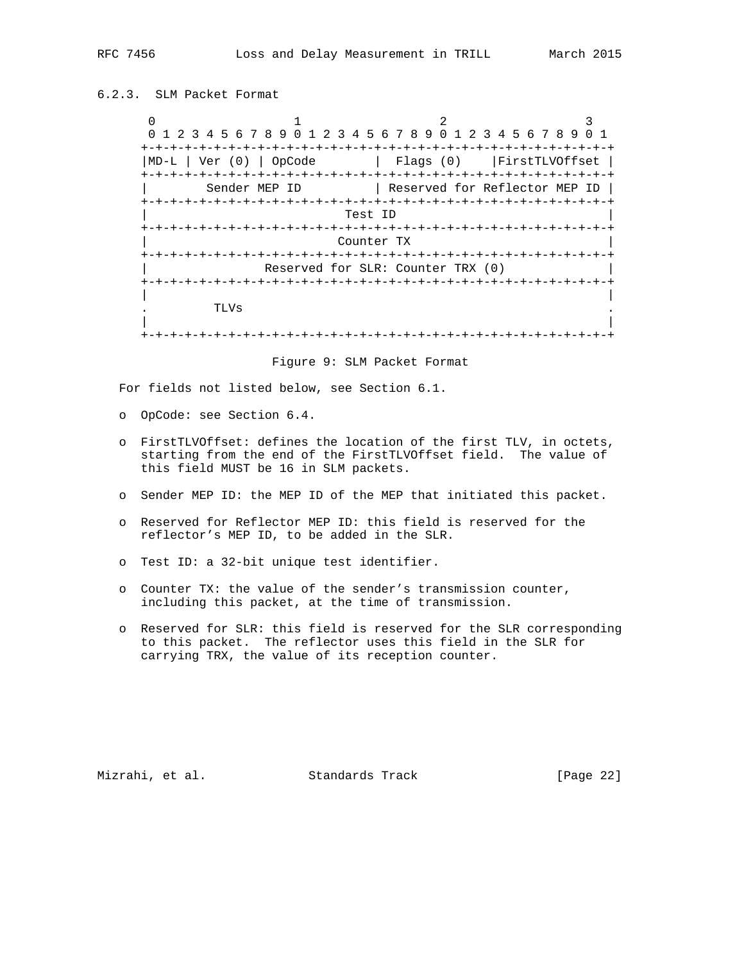# 6.2.3. SLM Packet Format

0  $1$  2 3 0 1 2 3 4 5 6 7 8 9 0 1 2 3 4 5 6 7 8 9 0 1 2 3 4 5 6 7 8 9 0 1 +-+-+-+-+-+-+-+-+-+-+-+-+-+-+-+-+-+-+-+-+-+-+-+-+-+-+-+-+-+-+-+-+ |MD-L | Ver (0) | OpCode | Flags (0) |FirstTLVOffset | +-+-+-+-+-+-+-+-+-+-+-+-+-+-+-+-+-+-+-+-+-+-+-+-+-+-+-+-+-+-+-+-+ Sender MEP ID | Reserved for Reflector MEP ID | +-+-+-+-+-+-+-+-+-+-+-+-+-+-+-+-+-+-+-+-+-+-+-+-+-+-+-+-+-+-+-+-+ Test ID +-+-+-+-+-+-+-+-+-+-+-+-+-+-+-+-+-+-+-+-+-+-+-+-+-+-+-+-+-+-+-+-+ Counter TX +-+-+-+-+-+-+-+-+-+-+-+-+-+-+-+-+-+-+-+-+-+-+-+-+-+-+-+-+-+-+-+-+ Reserved for SLR: Counter TRX (0) +-+-+-+-+-+-+-+-+-+-+-+-+-+-+-+-+-+-+-+-+-+-+-+-+-+-+-+-+-+-+-+-+ | | . TLVs . | | +-+-+-+-+-+-+-+-+-+-+-+-+-+-+-+-+-+-+-+-+-+-+-+-+-+-+-+-+-+-+-+-+

Figure 9: SLM Packet Format

For fields not listed below, see Section 6.1.

- o OpCode: see Section 6.4.
- o FirstTLVOffset: defines the location of the first TLV, in octets, starting from the end of the FirstTLVOffset field. The value of this field MUST be 16 in SLM packets.
- o Sender MEP ID: the MEP ID of the MEP that initiated this packet.
- o Reserved for Reflector MEP ID: this field is reserved for the reflector's MEP ID, to be added in the SLR.
- o Test ID: a 32-bit unique test identifier.
- o Counter TX: the value of the sender's transmission counter, including this packet, at the time of transmission.
- o Reserved for SLR: this field is reserved for the SLR corresponding to this packet. The reflector uses this field in the SLR for carrying TRX, the value of its reception counter.

Mizrahi, et al. Standards Track [Page 22]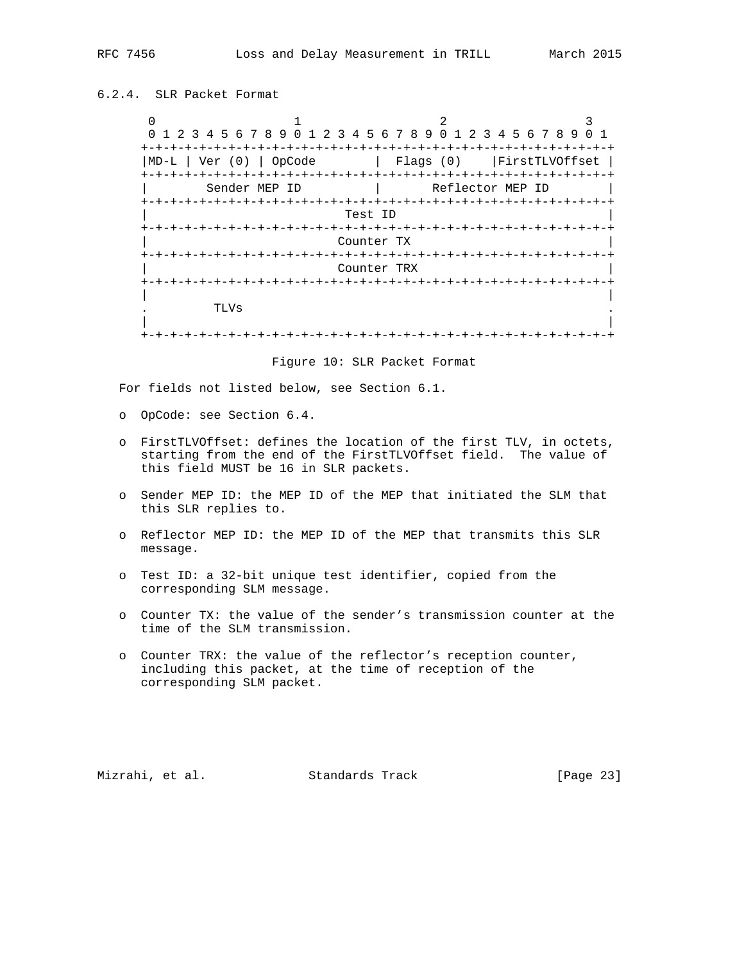# 6.2.4. SLR Packet Format

0  $1$  2 3 0 1 2 3 4 5 6 7 8 9 0 1 2 3 4 5 6 7 8 9 0 1 2 3 4 5 6 7 8 9 0 1 +-+-+-+-+-+-+-+-+-+-+-+-+-+-+-+-+-+-+-+-+-+-+-+-+-+-+-+-+-+-+-+-+ |MD-L | Ver (0) | OpCode | Flags (0) |FirstTLVOffset | +-+-+-+-+-+-+-+-+-+-+-+-+-+-+-+-+-+-+-+-+-+-+-+-+-+-+-+-+-+-+-+-+ Sender MEP ID | Reflector MEP ID +-+-+-+-+-+-+-+-+-+-+-+-+-+-+-+-+-+-+-+-+-+-+-+-+-+-+-+-+-+-+-+-+ Test ID +-+-+-+-+-+-+-+-+-+-+-+-+-+-+-+-+-+-+-+-+-+-+-+-+-+-+-+-+-+-+-+-+ Counter TX +-+-+-+-+-+-+-+-+-+-+-+-+-+-+-+-+-+-+-+-+-+-+-+-+-+-+-+-+-+-+-+-+ | Counter TRX | +-+-+-+-+-+-+-+-+-+-+-+-+-+-+-+-+-+-+-+-+-+-+-+-+-+-+-+-+-+-+-+-+ | | . TLVs . | | +-+-+-+-+-+-+-+-+-+-+-+-+-+-+-+-+-+-+-+-+-+-+-+-+-+-+-+-+-+-+-+-+

Figure 10: SLR Packet Format

For fields not listed below, see Section 6.1.

- o OpCode: see Section 6.4.
- o FirstTLVOffset: defines the location of the first TLV, in octets, starting from the end of the FirstTLVOffset field. The value of this field MUST be 16 in SLR packets.
- o Sender MEP ID: the MEP ID of the MEP that initiated the SLM that this SLR replies to.
- o Reflector MEP ID: the MEP ID of the MEP that transmits this SLR message.
- o Test ID: a 32-bit unique test identifier, copied from the corresponding SLM message.
- o Counter TX: the value of the sender's transmission counter at the time of the SLM transmission.
- o Counter TRX: the value of the reflector's reception counter, including this packet, at the time of reception of the corresponding SLM packet.

Mizrahi, et al. Standards Track [Page 23]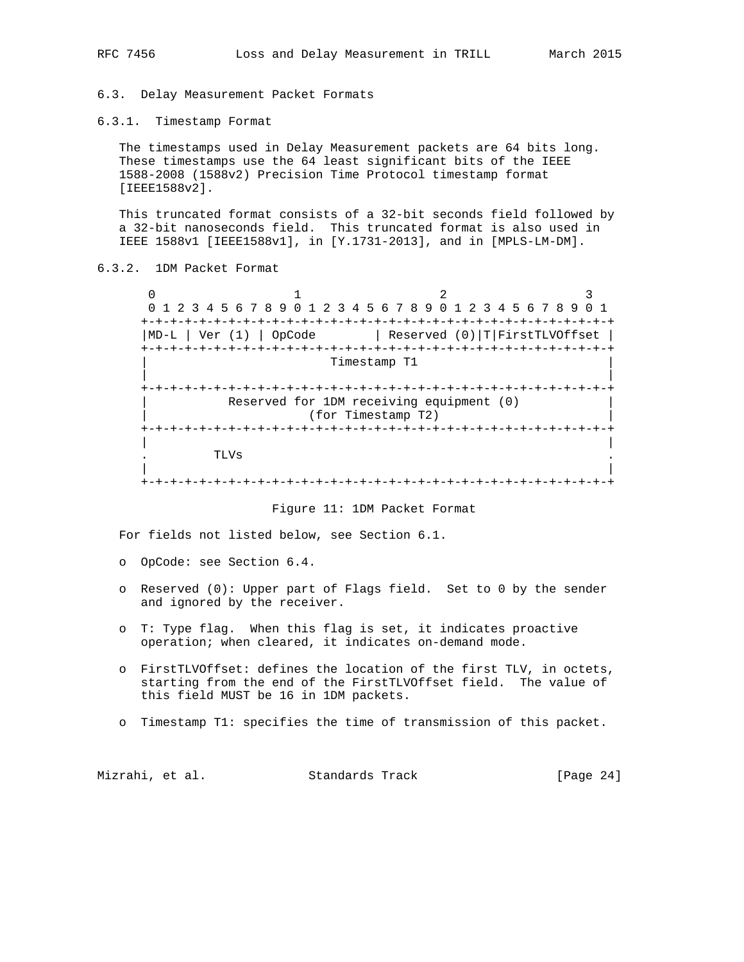6.3. Delay Measurement Packet Formats

6.3.1. Timestamp Format

 The timestamps used in Delay Measurement packets are 64 bits long. These timestamps use the 64 least significant bits of the IEEE 1588-2008 (1588v2) Precision Time Protocol timestamp format [IEEE1588v2].

 This truncated format consists of a 32-bit seconds field followed by a 32-bit nanoseconds field. This truncated format is also used in IEEE 1588v1 [IEEE1588v1], in [Y.1731-2013], and in [MPLS-LM-DM].

# 6.3.2. 1DM Packet Format

 $0$  1 2 3 0 1 2 3 4 5 6 7 8 9 0 1 2 3 4 5 6 7 8 9 0 1 2 3 4 5 6 7 8 9 0 1 +-+-+-+-+-+-+-+-+-+-+-+-+-+-+-+-+-+-+-+-+-+-+-+-+-+-+-+-+-+-+-+-+ |MD-L | Ver (1) | OpCode | Reserved (0)|T|FirstTLVOffset | +-+-+-+-+-+-+-+-+-+-+-+-+-+-+-+-+-+-+-+-+-+-+-+-+-+-+-+-+-+-+-+-+ | Timestamp T1 | | | +-+-+-+-+-+-+-+-+-+-+-+-+-+-+-+-+-+-+-+-+-+-+-+-+-+-+-+-+-+-+-+-+ Reserved for 1DM receiving equipment (0) (for Timestamp T2) +-+-+-+-+-+-+-+-+-+-+-+-+-+-+-+-+-+-+-+-+-+-+-+-+-+-+-+-+-+-+-+-+ | | . TLVs . | | +-+-+-+-+-+-+-+-+-+-+-+-+-+-+-+-+-+-+-+-+-+-+-+-+-+-+-+-+-+-+-+-+

Figure 11: 1DM Packet Format

For fields not listed below, see Section 6.1.

- o OpCode: see Section 6.4.
- o Reserved (0): Upper part of Flags field. Set to 0 by the sender and ignored by the receiver.
- o T: Type flag. When this flag is set, it indicates proactive operation; when cleared, it indicates on-demand mode.
- o FirstTLVOffset: defines the location of the first TLV, in octets, starting from the end of the FirstTLVOffset field. The value of this field MUST be 16 in 1DM packets.
- o Timestamp T1: specifies the time of transmission of this packet.

Mizrahi, et al. Standards Track [Page 24]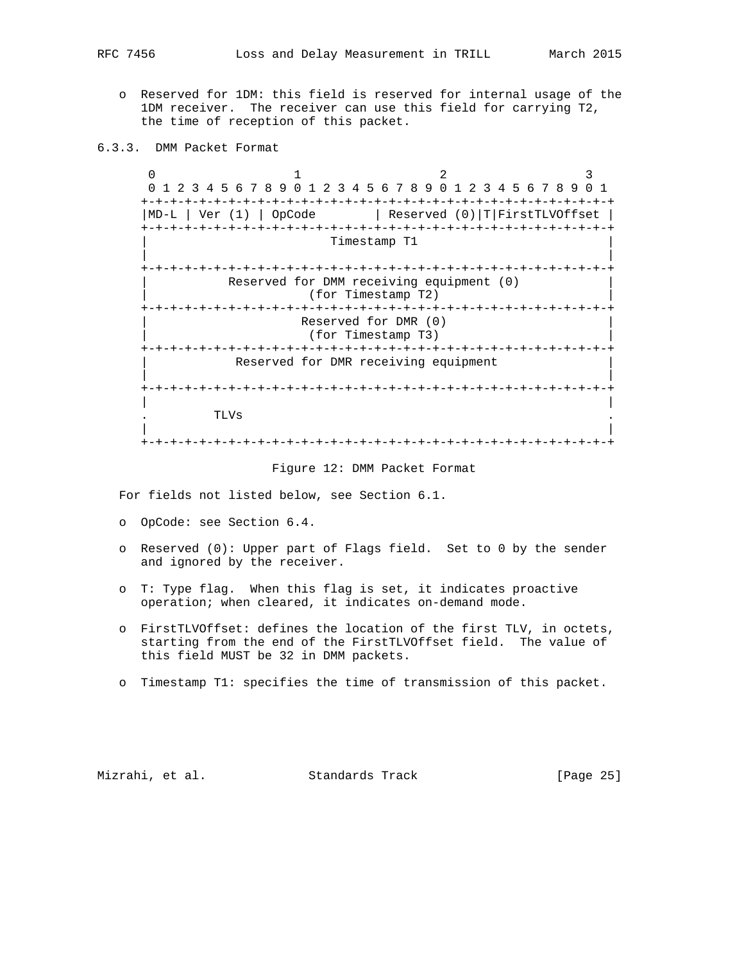- o Reserved for 1DM: this field is reserved for internal usage of the 1DM receiver. The receiver can use this field for carrying T2, the time of reception of this packet.
- 6.3.3. DMM Packet Format

 $0$  1 2 3 0 1 2 3 4 5 6 7 8 9 0 1 2 3 4 5 6 7 8 9 0 1 2 3 4 5 6 7 8 9 0 1 +-+-+-+-+-+-+-+-+-+-+-+-+-+-+-+-+-+-+-+-+-+-+-+-+-+-+-+-+-+-+-+-+ |MD-L | Ver (1) | OpCode | Reserved (0)|T|FirstTLVOffset | +-+-+-+-+-+-+-+-+-+-+-+-+-+-+-+-+-+-+-+-+-+-+-+-+-+-+-+-+-+-+-+-+ Timestamp T1 | | +-+-+-+-+-+-+-+-+-+-+-+-+-+-+-+-+-+-+-+-+-+-+-+-+-+-+-+-+-+-+-+-+ Reserved for DMM receiving equipment (0) | (for Timestamp T2) | +-+-+-+-+-+-+-+-+-+-+-+-+-+-+-+-+-+-+-+-+-+-+-+-+-+-+-+-+-+-+-+-+ Reserved for DMR (0) | (for Timestamp T3) | +-+-+-+-+-+-+-+-+-+-+-+-+-+-+-+-+-+-+-+-+-+-+-+-+-+-+-+-+-+-+-+-+ Reserved for DMR receiving equipment | | +-+-+-+-+-+-+-+-+-+-+-+-+-+-+-+-+-+-+-+-+-+-+-+-+-+-+-+-+-+-+-+-+ | | . TLVs . | | +-+-+-+-+-+-+-+-+-+-+-+-+-+-+-+-+-+-+-+-+-+-+-+-+-+-+-+-+-+-+-+-+

#### Figure 12: DMM Packet Format

For fields not listed below, see Section 6.1.

- o OpCode: see Section 6.4.
- o Reserved (0): Upper part of Flags field. Set to 0 by the sender and ignored by the receiver.
- o T: Type flag. When this flag is set, it indicates proactive operation; when cleared, it indicates on-demand mode.
- o FirstTLVOffset: defines the location of the first TLV, in octets, starting from the end of the FirstTLVOffset field. The value of this field MUST be 32 in DMM packets.
- o Timestamp T1: specifies the time of transmission of this packet.

Mizrahi, et al. Standards Track [Page 25]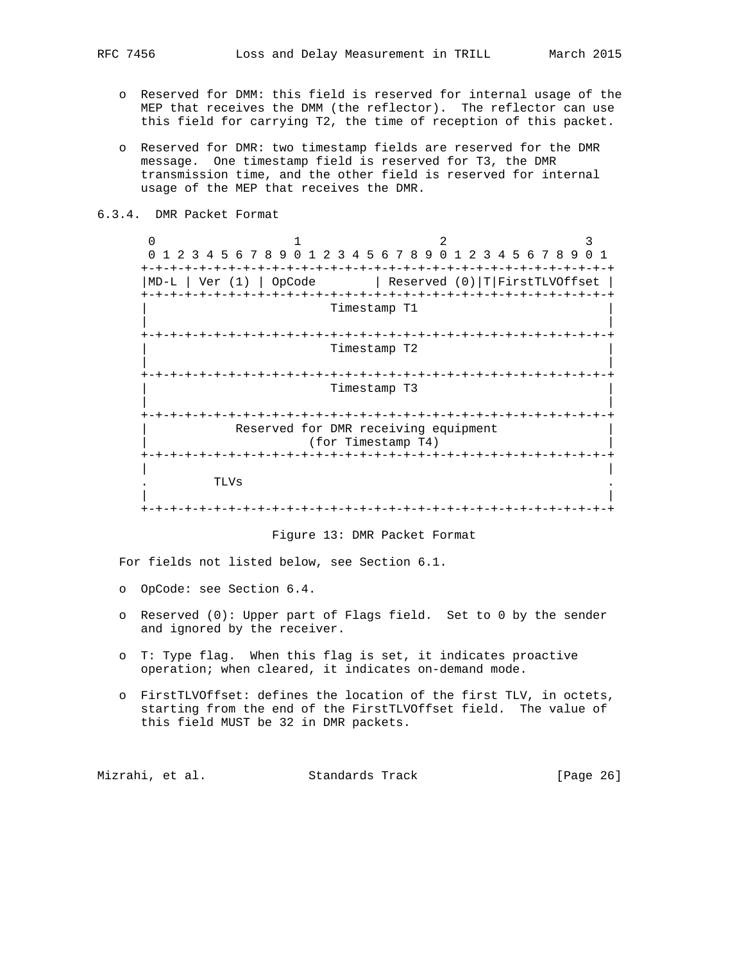- o Reserved for DMM: this field is reserved for internal usage of the MEP that receives the DMM (the reflector). The reflector can use this field for carrying T2, the time of reception of this packet.
- o Reserved for DMR: two timestamp fields are reserved for the DMR message. One timestamp field is reserved for T3, the DMR transmission time, and the other field is reserved for internal usage of the MEP that receives the DMR.
- 6.3.4. DMR Packet Format

0  $1$  2 3 0 1 2 3 4 5 6 7 8 9 0 1 2 3 4 5 6 7 8 9 0 1 2 3 4 5 6 7 8 9 0 1 +-+-+-+-+-+-+-+-+-+-+-+-+-+-+-+-+-+-+-+-+-+-+-+-+-+-+-+-+-+-+-+-+ |MD-L | Ver (1) | OpCode | Reserved (0)|T|FirstTLVOffset | +-+-+-+-+-+-+-+-+-+-+-+-+-+-+-+-+-+-+-+-+-+-+-+-+-+-+-+-+-+-+-+-+ Timestamp T1 | | +-+-+-+-+-+-+-+-+-+-+-+-+-+-+-+-+-+-+-+-+-+-+-+-+-+-+-+-+-+-+-+-+ | Timestamp T2 | | | +-+-+-+-+-+-+-+-+-+-+-+-+-+-+-+-+-+-+-+-+-+-+-+-+-+-+-+-+-+-+-+-+ | Timestamp T3 | | | +-+-+-+-+-+-+-+-+-+-+-+-+-+-+-+-+-+-+-+-+-+-+-+-+-+-+-+-+-+-+-+-+ Reserved for DMR receiving equipment | (for Timestamp T4) | +-+-+-+-+-+-+-+-+-+-+-+-+-+-+-+-+-+-+-+-+-+-+-+-+-+-+-+-+-+-+-+-+ | | . TLVs . | | +-+-+-+-+-+-+-+-+-+-+-+-+-+-+-+-+-+-+-+-+-+-+-+-+-+-+-+-+-+-+-+-+

## Figure 13: DMR Packet Format

For fields not listed below, see Section 6.1.

- o OpCode: see Section 6.4.
- o Reserved (0): Upper part of Flags field. Set to 0 by the sender and ignored by the receiver.
- o T: Type flag. When this flag is set, it indicates proactive operation; when cleared, it indicates on-demand mode.
- o FirstTLVOffset: defines the location of the first TLV, in octets, starting from the end of the FirstTLVOffset field. The value of this field MUST be 32 in DMR packets.

Mizrahi, et al. Standards Track [Page 26]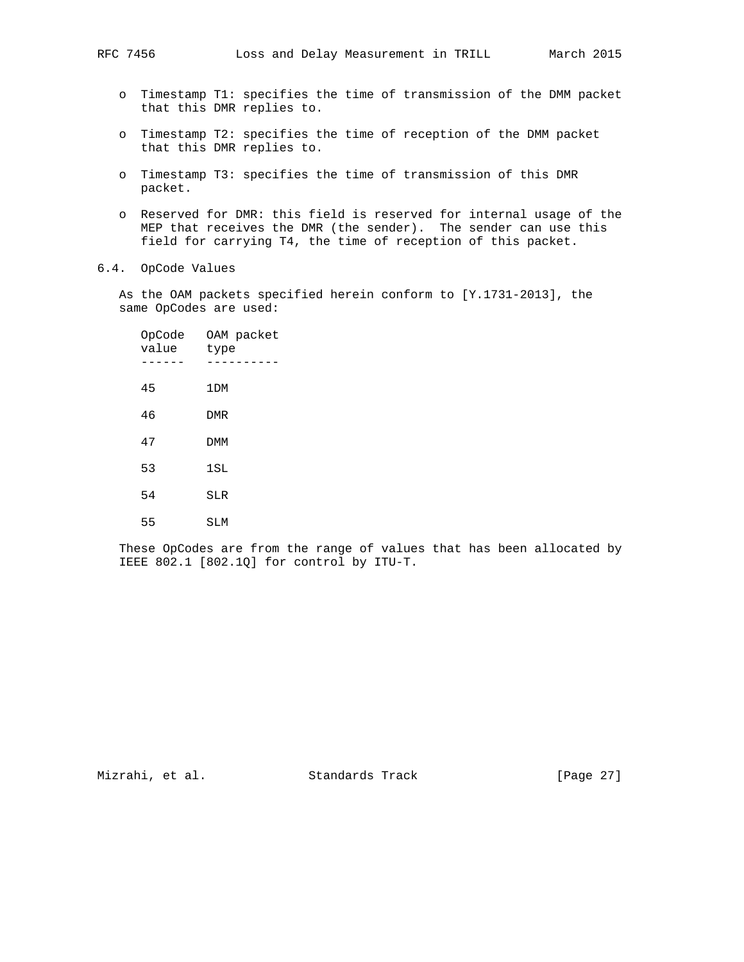- o Timestamp T1: specifies the time of transmission of the DMM packet that this DMR replies to.
- o Timestamp T2: specifies the time of reception of the DMM packet that this DMR replies to.
- o Timestamp T3: specifies the time of transmission of this DMR packet.
- o Reserved for DMR: this field is reserved for internal usage of the MEP that receives the DMR (the sender). The sender can use this field for carrying T4, the time of reception of this packet.
- 6.4. OpCode Values

 As the OAM packets specified herein conform to [Y.1731-2013], the same OpCodes are used:

| OpCode<br>value | OAM packet<br>type |
|-----------------|--------------------|
| 45              | 1 <sub>DM</sub>    |
| 46              | <b>DMR</b>         |
| 47              | <b>DMM</b>         |
| 53              | 1SL                |
| 54              | SLR                |
| 55              | SLM                |

 These OpCodes are from the range of values that has been allocated by IEEE 802.1 [802.1Q] for control by ITU-T.

Mizrahi, et al. Standards Track [Page 27]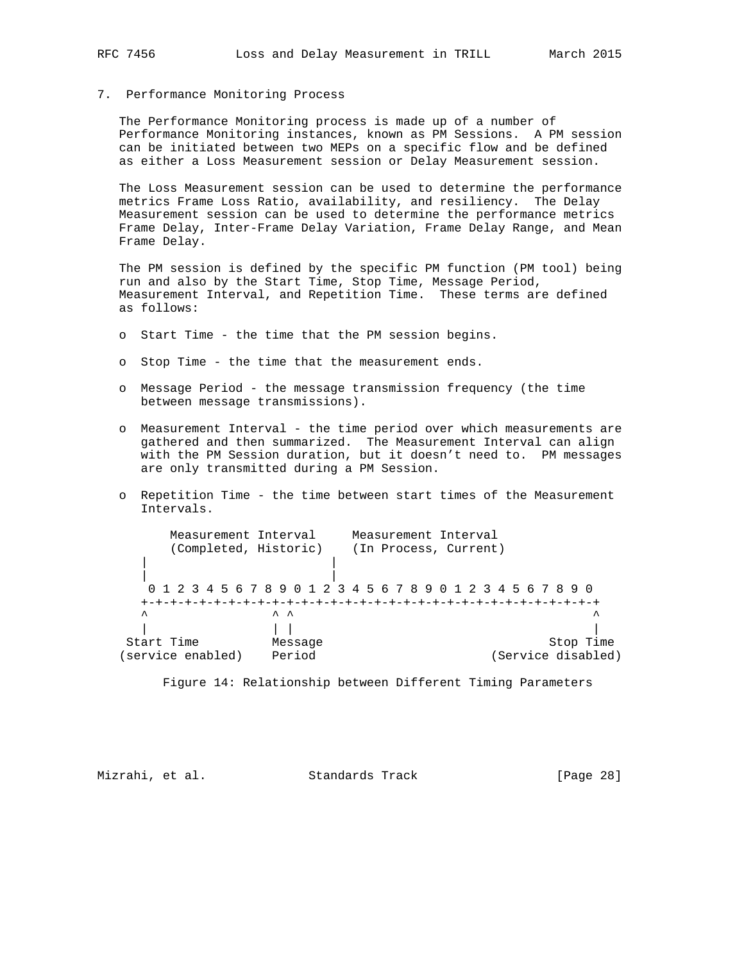# 7. Performance Monitoring Process

 The Performance Monitoring process is made up of a number of Performance Monitoring instances, known as PM Sessions. A PM session can be initiated between two MEPs on a specific flow and be defined as either a Loss Measurement session or Delay Measurement session.

 The Loss Measurement session can be used to determine the performance metrics Frame Loss Ratio, availability, and resiliency. The Delay Measurement session can be used to determine the performance metrics Frame Delay, Inter-Frame Delay Variation, Frame Delay Range, and Mean Frame Delay.

 The PM session is defined by the specific PM function (PM tool) being run and also by the Start Time, Stop Time, Message Period, Measurement Interval, and Repetition Time. These terms are defined as follows:

- o Start Time the time that the PM session begins.
- o Stop Time the time that the measurement ends.
- o Message Period the message transmission frequency (the time between message transmissions).
- o Measurement Interval the time period over which measurements are gathered and then summarized. The Measurement Interval can align with the PM Session duration, but it doesn't need to. PM messages are only transmitted during a PM Session.
- o Repetition Time the time between start times of the Measurement Intervals.

| Measurement Interval  |         | Measurement Interval                                          |
|-----------------------|---------|---------------------------------------------------------------|
| (Completed, Historic) |         | (In Process, Current)                                         |
|                       |         |                                                               |
|                       |         | 0 1 2 3 4 5 6 7 8 9 0 1 2 3 4 5 6 7 8 9 0 1 2 3 4 5 6 7 8 9 0 |
|                       |         |                                                               |
| $\lambda$             | ㅅ ㅅ     | ᄉ                                                             |
|                       |         |                                                               |
| Start Time            | Message | Stop Time                                                     |
| service enabled)      | Period  | (Service disabled)                                            |
|                       |         |                                                               |

Figure 14: Relationship between Different Timing Parameters

Mizrahi, et al. Standards Track [Page 28]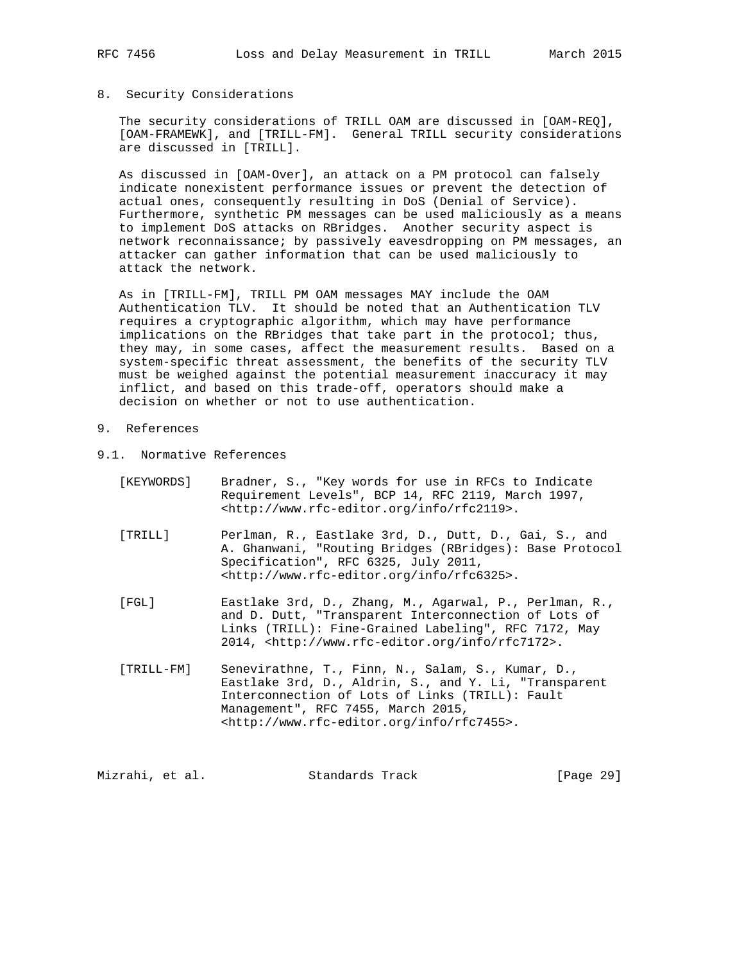## 8. Security Considerations

 The security considerations of TRILL OAM are discussed in [OAM-REQ], [OAM-FRAMEWK], and [TRILL-FM]. General TRILL security considerations are discussed in [TRILL].

 As discussed in [OAM-Over], an attack on a PM protocol can falsely indicate nonexistent performance issues or prevent the detection of actual ones, consequently resulting in DoS (Denial of Service). Furthermore, synthetic PM messages can be used maliciously as a means to implement DoS attacks on RBridges. Another security aspect is network reconnaissance; by passively eavesdropping on PM messages, an attacker can gather information that can be used maliciously to attack the network.

 As in [TRILL-FM], TRILL PM OAM messages MAY include the OAM Authentication TLV. It should be noted that an Authentication TLV requires a cryptographic algorithm, which may have performance implications on the RBridges that take part in the protocol; thus, they may, in some cases, affect the measurement results. Based on a system-specific threat assessment, the benefits of the security TLV must be weighed against the potential measurement inaccuracy it may inflict, and based on this trade-off, operators should make a decision on whether or not to use authentication.

## 9. References

- 9.1. Normative References
	- [KEYWORDS] Bradner, S., "Key words for use in RFCs to Indicate Requirement Levels", BCP 14, RFC 2119, March 1997, <http://www.rfc-editor.org/info/rfc2119>.
	- [TRILL] Perlman, R., Eastlake 3rd, D., Dutt, D., Gai, S., and A. Ghanwani, "Routing Bridges (RBridges): Base Protocol Specification", RFC 6325, July 2011, <http://www.rfc-editor.org/info/rfc6325>.
	- [FGL] Eastlake 3rd, D., Zhang, M., Agarwal, P., Perlman, R., and D. Dutt, "Transparent Interconnection of Lots of Links (TRILL): Fine-Grained Labeling", RFC 7172, May 2014, <http://www.rfc-editor.org/info/rfc7172>.
	- [TRILL-FM] Senevirathne, T., Finn, N., Salam, S., Kumar, D., Eastlake 3rd, D., Aldrin, S., and Y. Li, "Transparent Interconnection of Lots of Links (TRILL): Fault Management", RFC 7455, March 2015, <http://www.rfc-editor.org/info/rfc7455>.

Mizrahi, et al. Standards Track [Page 29]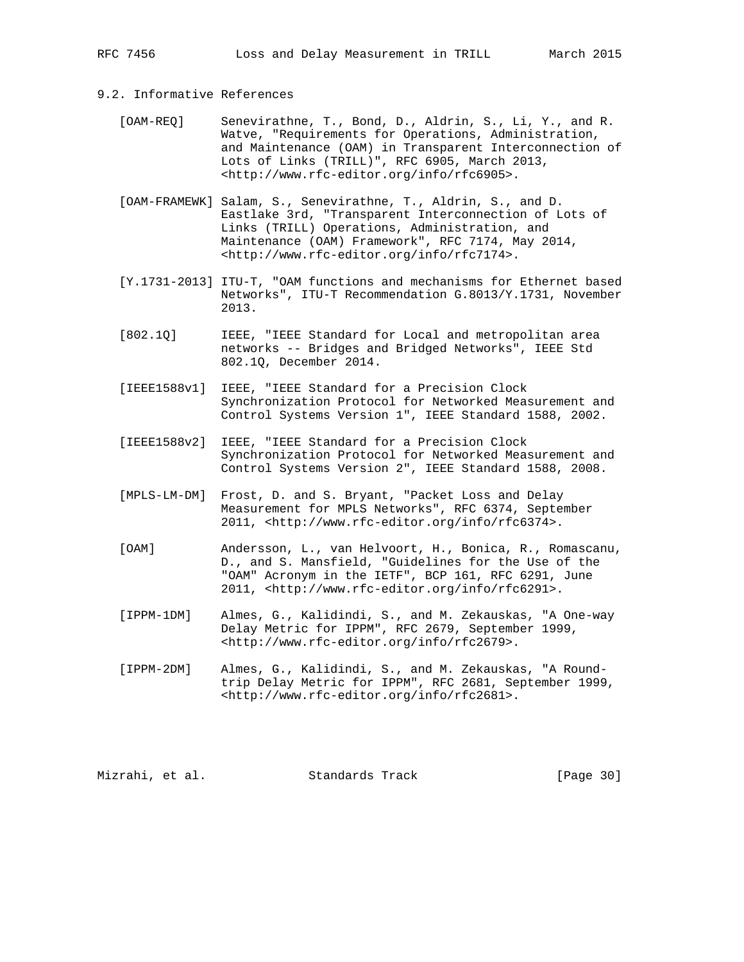# 9.2. Informative References

- [OAM-REQ] Senevirathne, T., Bond, D., Aldrin, S., Li, Y., and R. Watve, "Requirements for Operations, Administration, and Maintenance (OAM) in Transparent Interconnection of Lots of Links (TRILL)", RFC 6905, March 2013, <http://www.rfc-editor.org/info/rfc6905>.
- [OAM-FRAMEWK] Salam, S., Senevirathne, T., Aldrin, S., and D. Eastlake 3rd, "Transparent Interconnection of Lots of Links (TRILL) Operations, Administration, and Maintenance (OAM) Framework", RFC 7174, May 2014, <http://www.rfc-editor.org/info/rfc7174>.
- [Y.1731-2013] ITU-T, "OAM functions and mechanisms for Ethernet based Networks", ITU-T Recommendation G.8013/Y.1731, November 2013.
- [802.1Q] IEEE, "IEEE Standard for Local and metropolitan area networks -- Bridges and Bridged Networks", IEEE Std 802.1Q, December 2014.
- [IEEE1588v1] IEEE, "IEEE Standard for a Precision Clock Synchronization Protocol for Networked Measurement and Control Systems Version 1", IEEE Standard 1588, 2002.
- [IEEE1588v2] IEEE, "IEEE Standard for a Precision Clock Synchronization Protocol for Networked Measurement and Control Systems Version 2", IEEE Standard 1588, 2008.
- [MPLS-LM-DM] Frost, D. and S. Bryant, "Packet Loss and Delay Measurement for MPLS Networks", RFC 6374, September 2011, <http://www.rfc-editor.org/info/rfc6374>.
- [OAM] Andersson, L., van Helvoort, H., Bonica, R., Romascanu, D., and S. Mansfield, "Guidelines for the Use of the "OAM" Acronym in the IETF", BCP 161, RFC 6291, June 2011, <http://www.rfc-editor.org/info/rfc6291>.
- [IPPM-1DM] Almes, G., Kalidindi, S., and M. Zekauskas, "A One-way Delay Metric for IPPM", RFC 2679, September 1999, <http://www.rfc-editor.org/info/rfc2679>.
- [IPPM-2DM] Almes, G., Kalidindi, S., and M. Zekauskas, "A Round trip Delay Metric for IPPM", RFC 2681, September 1999, <http://www.rfc-editor.org/info/rfc2681>.

Mizrahi, et al. Standards Track [Page 30]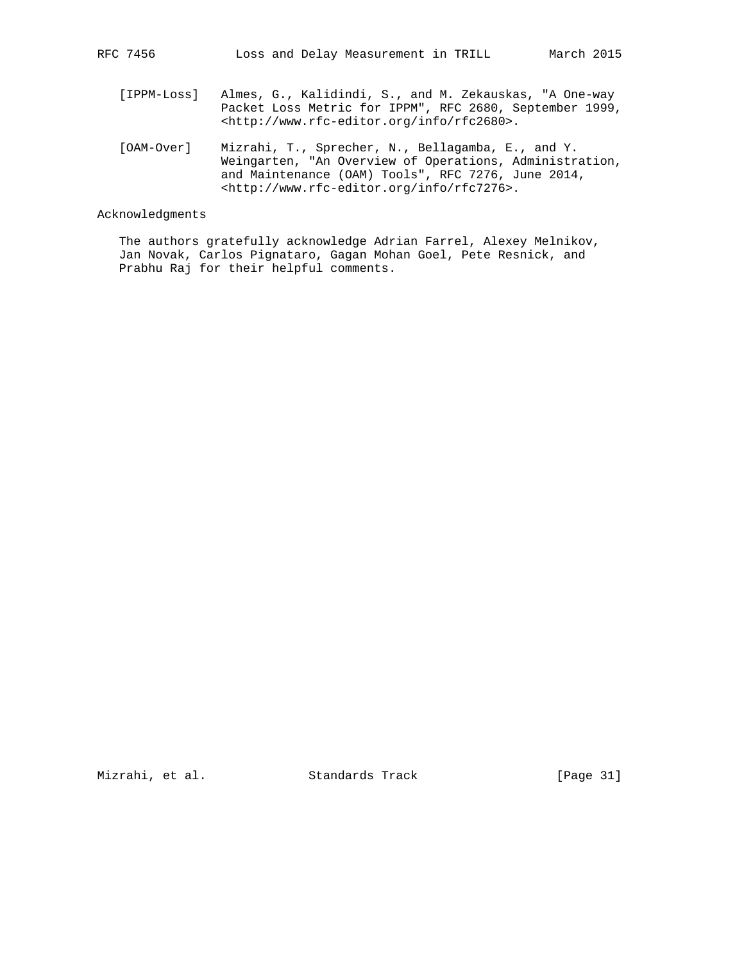- [IPPM-Loss] Almes, G., Kalidindi, S., and M. Zekauskas, "A One-way Packet Loss Metric for IPPM", RFC 2680, September 1999, <http://www.rfc-editor.org/info/rfc2680>.
- [OAM-Over] Mizrahi, T., Sprecher, N., Bellagamba, E., and Y. Weingarten, "An Overview of Operations, Administration, and Maintenance (OAM) Tools", RFC 7276, June 2014, <http://www.rfc-editor.org/info/rfc7276>.

## Acknowledgments

 The authors gratefully acknowledge Adrian Farrel, Alexey Melnikov, Jan Novak, Carlos Pignataro, Gagan Mohan Goel, Pete Resnick, and Prabhu Raj for their helpful comments.